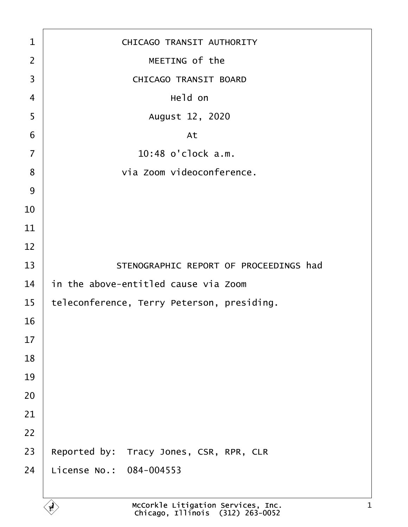| 1               | CHICAGO TRANSIT AUTHORITY                  |
|-----------------|--------------------------------------------|
| $\overline{2}$  | MEETING of the                             |
| 3               | <b>CHICAGO TRANSIT BOARD</b>               |
| $\overline{4}$  | Held on                                    |
| 5               | August 12, 2020                            |
| $6\phantom{1}6$ | At                                         |
| $\overline{7}$  | 10:48 o'clock a.m.                         |
| 8               | via Zoom videoconference.                  |
| $9\,$           |                                            |
| 10              |                                            |
| 11              |                                            |
| 12              |                                            |
| 13              | STENOGRAPHIC REPORT OF PROCEEDINGS had     |
| 14              | in the above-entitled cause via Zoom       |
| 15              | teleconference, Terry Peterson, presiding. |
| 16              |                                            |
| 17              |                                            |
| 18              |                                            |
| 19              |                                            |
| 20              |                                            |
| 21              |                                            |
| 22              |                                            |
| 23              | Reported by: Tracy Jones, CSR, RPR, CLR    |
| 24              | License No.: 084-004553                    |
|                 |                                            |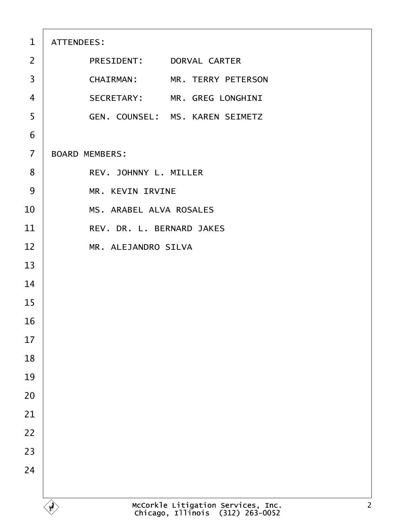| $\mathbf{1}$   | ATTENDEES:                             |
|----------------|----------------------------------------|
| 2              | PRESIDENT: DORVAL CARTER               |
| 3              | CHAIRMAN: MR. TERRY PETERSON           |
| $\overline{4}$ | SECRETARY: MR. GREG LONGHINI           |
| 5              | <b>GEN. COUNSEL: MS. KAREN SEIMETZ</b> |
| 6              |                                        |
| $\overline{7}$ | <b>BOARD MEMBERS:</b>                  |
| 8              | REV. JOHNNY L. MILLER                  |
| 9              | <b>MR. KEVIN IRVINE</b>                |
| 10             | <b>MS. ARABEL ALVA ROSALES</b>         |
| 11             | REV. DR. L. BERNARD JAKES              |
| 12             | MR. ALEJANDRO SILVA                    |
| 13             |                                        |
| 14             |                                        |
| 15             |                                        |
| 16             |                                        |
| 17             |                                        |
| 18             |                                        |
| 19             |                                        |
| 20             |                                        |
| 21             |                                        |
| 22             |                                        |
| 23             |                                        |
| 24             |                                        |
|                |                                        |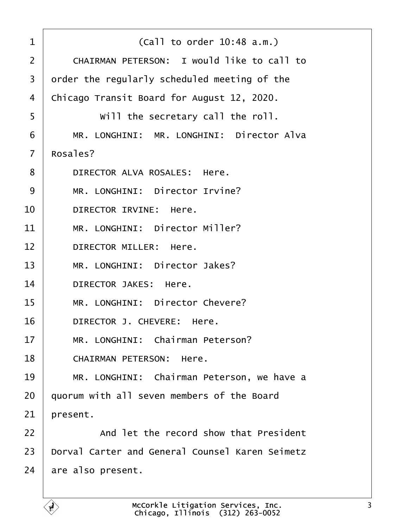| 1              | (Call to order 10:48 a.m.)                        |
|----------------|---------------------------------------------------|
| 2              | <b>CHAIRMAN PETERSON: I would like to call to</b> |
| 3              | order the regularly scheduled meeting of the      |
| 4              | Chicago Transit Board for August 12, 2020.        |
| 5              | Will the secretary call the roll.                 |
| 6              | MR. LONGHINI: MR. LONGHINI: Director Alva         |
| $\overline{7}$ | Rosales?                                          |
| 8              | DIRECTOR ALVA ROSALES: Here.                      |
| 9              | MR. LONGHINI: Director Irvine?                    |
| 10             | <b>DIRECTOR IRVINE: Here.</b>                     |
| 11             | MR. LONGHINI: Director Miller?                    |
| 12             | DIRECTOR MILLER: Here.                            |
| 13             | MR. LONGHINI: Director Jakes?                     |
| 14             | <b>DIRECTOR JAKES: Here.</b>                      |
| 15             | MR. LONGHINI: Director Chevere?                   |
| 16             | DIRECTOR J. CHEVERE: Here.                        |
| 17             | MR. LONGHINI: Chairman Peterson?                  |
| 18             | <b>CHAIRMAN PETERSON: Here.</b>                   |
| 19             | MR. LONGHINI: Chairman Peterson, we have a        |
| 20             | quorum with all seven members of the Board        |
| 21             | present.                                          |
| 22             | And let the record show that President            |
| 23             | Dorval Carter and General Counsel Karen Seimetz   |
| 24             | are also present.                                 |
|                |                                                   |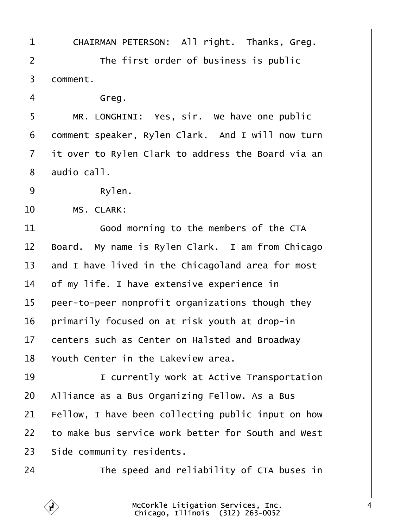<span id="page-3-0"></span>

| 1              | CHAIRMAN PETERSON: All right. Thanks, Greg.        |
|----------------|----------------------------------------------------|
| 2              | The first order of business is public              |
| $\mathfrak{S}$ | domment.                                           |
| 4              | Greg.                                              |
| 5              | MR. LONGHINI: Yes, sir. We have one public         |
| 6              | domment speaker, Rylen Clark. And I will now turn  |
| $\overline{7}$ | it over to Rylen Clark to address the Board via an |
| 8              | audio call.                                        |
| 9              | Rylen.                                             |
| 10             | <b>MS. CLARK:</b>                                  |
| 11             | Good morning to the members of the CTA             |
| 12             | Board. My name is Rylen Clark. I am from Chicago   |
| 13             | and I have lived in the Chicagoland area for most  |
| 14             | of my life. I have extensive experience in         |
| 15             | peer-to-peer nonprofit organizations though they   |
| 16             | primarily focused on at risk youth at drop-in      |
| 17             | centers such as Center on Halsted and Broadway     |
| 18             | Youth Center in the Lakeview area.                 |
| 19             | I currently work at Active Transportation          |
| 20             | Alliance as a Bus Organizing Fellow. As a Bus      |
| 21             | Fellow, I have been collecting public input on how |
| 22             | to make bus service work better for South and West |
| 23             | Side community residents.                          |
| 24             | The speed and reliability of CTA buses in          |
|                |                                                    |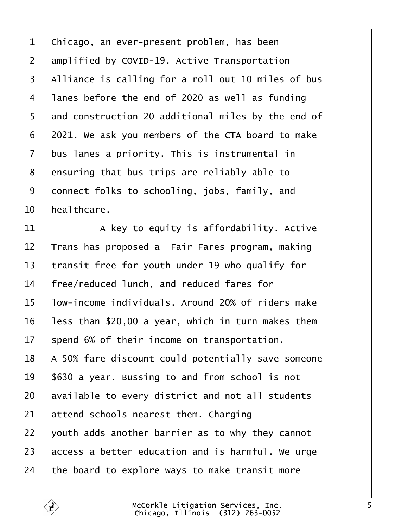- <span id="page-4-0"></span>1 Chicago, an ever-present problem, has been
- 2 amplified by COVID-19. Active Transportation
- 3 Alliance is calling for a roll out 10 miles of bus
- 4 lanes before the end of 2020 as well as funding
- 5 and construction 20 additional miles by the end of
- 6 2021. We ask you members of the CTA board to make
- 7 bus lanes a priority. This is instrumental in
- 8 ensuring that bus trips are reliably able to
- 9 donnect folks to schooling, jobs, family, and
- 10 healthcare.
- 11  $\parallel$  A key to equity is affordability. Active
- 12 Trans has proposed a Fair Fares program, making
- 13 transit free for youth under 19 who qualify for
- 14 free/reduced lunch, and reduced fares for
- 15 low-income individuals. Around 20% of riders make
- 16  $\,$  less than \$20,00 a year, which in turn makes them
- 17 spend 6% of their income on transportation.
- 18 A 50% fare discount could potentially save someone
- 19 \$630 a year. Bussing to and from school is not
- 20 available to every district and not all students
- 21 attend schools nearest them. Charging
- 22 youth adds another barrier as to why they cannot
- 23 access a better education and is harmful. We urge
- 24 the board to explore ways to make transit more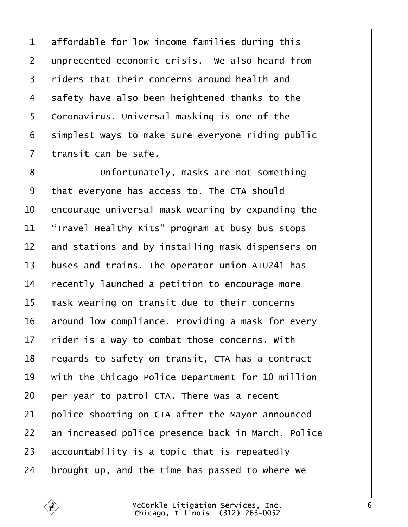<span id="page-5-0"></span>1 affordable for low income families during this 2 unprecented economic crisis. We also heard from 3 riders that their concerns around health and 4 safety have also been heightened thanks to the 5 Coronavirus. Universal masking is one of the 6 simplest ways to make sure everyone riding public 7 transit can be safe. 8 **Unfortunately, masks are not something** 9 that everyone has access to. The CTA should 10 encourage universal mask wearing by expanding the 11 *Travel Healthy Kits*" program at busy bus stops 12 and stations and by installing mask dispensers on 13 buses and trains. The operator union ATU241 has 14 recently launched a petition to encourage more 15 mask wearing on transit due to their concerns 16 around low compliance. Providing a mask for every 17 rider is a way to combat those concerns. With 18 regards to safety on transit, CTA has a contract 19 with the Chicago Police Department for 10 million 20 per year to patrol CTA. There was a recent 21 police shooting on CTA after the Mayor announced 22 an increased police presence back in March. Police 23 accountability is a topic that is repeatedly 24 brought up, and the time has passed to where we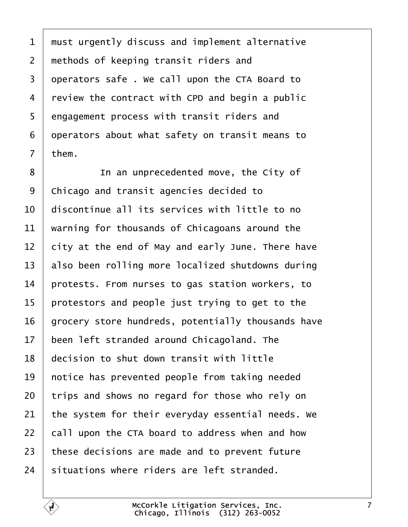<span id="page-6-0"></span>1 must urgently discuss and implement alternative 2 methods of keeping transit riders and 3 dperators safe . We call upon the CTA Board to 4 review the contract with CPD and begin a public 5 engagement process with transit riders and 6 deperators about what safety on transit means to 7 them. 8 **I** In an unprecedented move, the City of 9 Chicago and transit agencies decided to 10 discontinue all its services with little to no 11 warning for thousands of Chicagoans around the 12 bity at the end of May and early June. There have 13 also been rolling more localized shutdowns during 14 protests. From nurses to gas station workers, to 15 protestors and people just trying to get to the 16 grocery store hundreds, potentially thousands have 17 been left stranded around Chicagoland. The 18 decision to shut down transit with little 19 hotice has prevented people from taking needed 20 trips and shows no regard for those who rely on 21 the system for their everyday essential needs. We 22 call upon the CTA board to address when and how 23 these decisions are made and to prevent future 24 situations where riders are left stranded.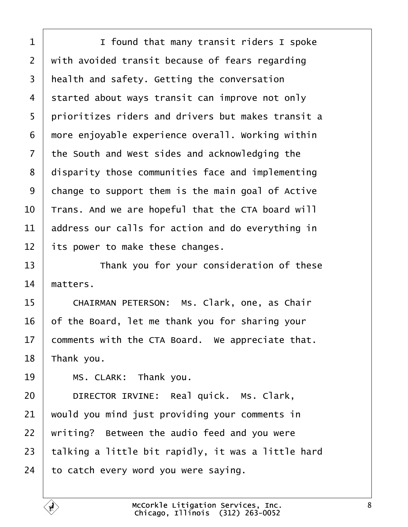<span id="page-7-0"></span>

| 1               | I found that many transit riders I spoke           |
|-----------------|----------------------------------------------------|
| $\overline{2}$  | with avoided transit because of fears regarding    |
| 3               | health and safety. Getting the conversation        |
| 4               | started about ways transit can improve not only    |
| 5               | prioritizes riders and drivers but makes transit a |
| 6               | more enjoyable experience overall. Working within  |
| 7               | the South and West sides and acknowledging the     |
| 8               | disparity those communities face and implementing  |
| 9               | change to support them is the main goal of Active  |
| 10              | Trans. And we are hopeful that the CTA board will  |
| 11              | address our calls for action and do everything in  |
| 12              | its power to make these changes.                   |
| 13              | Thank you for your consideration of these          |
| 14              | matters.                                           |
| 15              | CHAIRMAN PETERSON: Ms. Clark, one, as Chair        |
| 16              | of the Board, let me thank you for sharing your    |
| 17 <sup>1</sup> | comments with the CTA Board. We appreciate that.   |
| 18              | Thank you.                                         |
| 19              | MS. CLARK: Thank you.                              |
| 20              | DIRECTOR IRVINE: Real quick. Ms. Clark,            |
| 21              | would you mind just providing your comments in     |
| 22              | writing? Between the audio feed and you were       |
| 23              | talking a little bit rapidly, it was a little hard |
| 24              | to catch every word you were saying.               |
|                 |                                                    |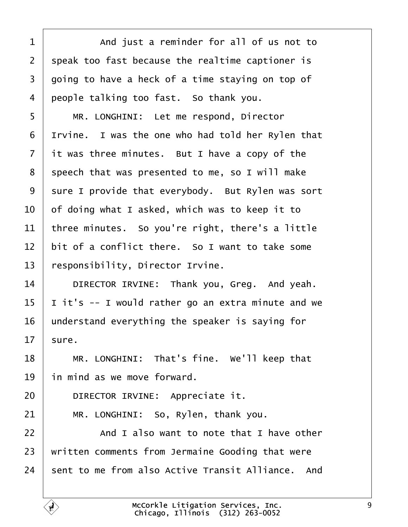<span id="page-8-0"></span>

| 1              | And just a reminder for all of us not to           |
|----------------|----------------------------------------------------|
| $\overline{2}$ | speak too fast because the realtime captioner is   |
| 3              | going to have a heck of a time staying on top of   |
| 4              | people talking too fast. So thank you.             |
| 5              | MR. LONGHINI: Let me respond, Director             |
| 6              | If vine. I was the one who had told her Rylen that |
| $\overline{7}$ | it was three minutes. But I have a copy of the     |
| 8              | speech that was presented to me, so I will make    |
| 9              | sure I provide that everybody. But Rylen was sort  |
| 10             | of doing what I asked, which was to keep it to     |
| 11             | three minutes. So you're right, there's a little   |
| 12             | bit of a conflict there. So I want to take some    |
| 13             | esponsibility, Director Irvine.                    |
| 14             | DIRECTOR IRVINE: Thank you, Greg. And yeah.        |
| 15             | it's -- I would rather go an extra minute and we   |
| 16             | understand everything the speaker is saying for    |
| 17             | sure.                                              |
| 18             | MR. LONGHINI: That's fine. We'll keep that         |
| 19             | in mind as we move forward.                        |
| 20             | DIRECTOR IRVINE: Appreciate it.                    |
| 21             | MR. LONGHINI: So, Rylen, thank you.                |
| 22             | And I also want to note that I have other          |
| 23             | written comments from Jermaine Gooding that were   |
| 24             | sent to me from also Active Transit Alliance. And  |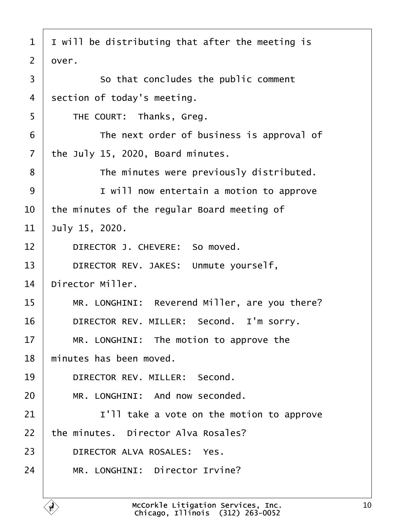<span id="page-9-0"></span>

| 1              | I will be distributing that after the meeting is |
|----------------|--------------------------------------------------|
| 2              | dver.                                            |
| 3              | So that concludes the public comment             |
| 4              | section of today's meeting.                      |
| 5              | THE COURT: Thanks, Greg.                         |
| 6              | The next order of business is approval of        |
| $\overline{7}$ | the July 15, 2020, Board minutes.                |
| 8              | The minutes were previously distributed.         |
| 9              | I will now entertain a motion to approve         |
| 10             | the minutes of the regular Board meeting of      |
| 11             | July 15, 2020.                                   |
| 12             | DIRECTOR J. CHEVERE: So moved.                   |
| 13             | DIRECTOR REV. JAKES: Unmute yourself,            |
| 14             | Director Miller.                                 |
| 15             | MR. LONGHINI: Reverend Miller, are you there?    |
| 16             | DIRECTOR REV. MILLER: Second. I'm sorry.         |
| 17             | MR. LONGHINI: The motion to approve the          |
| 18             | minutes has been moved.                          |
| 19             | DIRECTOR REV. MILLER: Second.                    |
| 20             | MR. LONGHINI: And now seconded.                  |
| 21             | I'll take a vote on the motion to approve        |
| 22             | the minutes. Director Alva Rosales?              |
| 23             | DIRECTOR ALVA ROSALES: Yes.                      |
| 24             | MR. LONGHINI: Director Irvine?                   |
|                |                                                  |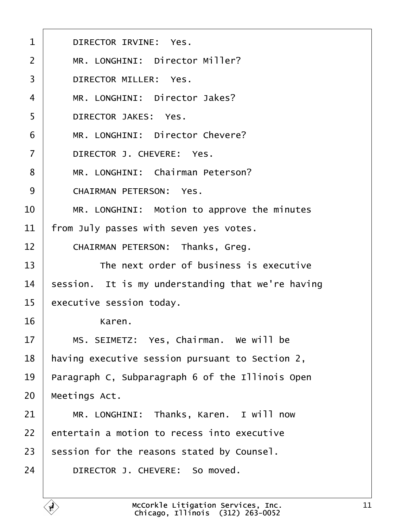<span id="page-10-0"></span>

| 1              | <b>DIRECTOR IRVINE: Yes.</b>                      |
|----------------|---------------------------------------------------|
| 2              | MR. LONGHINI: Director Miller?                    |
| 3              | <b>DIRECTOR MILLER: Yes.</b>                      |
| 4              | MR. LONGHINI: Director Jakes?                     |
| 5              | <b>DIRECTOR JAKES: Yes.</b>                       |
| 6              | MR. LONGHINI: Director Chevere?                   |
| $\overline{7}$ | DIRECTOR J. CHEVERE: Yes.                         |
| 8              | MR. LONGHINI: Chairman Peterson?                  |
| 9              | <b>CHAIRMAN PETERSON: Yes.</b>                    |
| 10             | MR. LONGHINI: Motion to approve the minutes       |
| 11             | from July passes with seven yes votes.            |
| 12             | CHAIRMAN PETERSON: Thanks, Greg.                  |
| 13             | The next order of business is executive           |
| 14             | session. It is my understanding that we're having |
| 15             | executive session today.                          |
| 16             | Karen.                                            |
| 17             | MS. SEIMETZ: Yes, Chairman. We will be            |
| 18             | having executive session pursuant to Section 2,   |
| 19             | Paragraph C, Subparagraph 6 of the Illinois Open  |
| 20             | Meetings Act.                                     |
| 21             | MR. LONGHINI: Thanks, Karen. I will now           |
| 22             | entertain a motion to recess into executive       |
| 23             | session for the reasons stated by Counsel.        |
| 24             | DIRECTOR J. CHEVERE: So moved.                    |
|                |                                                   |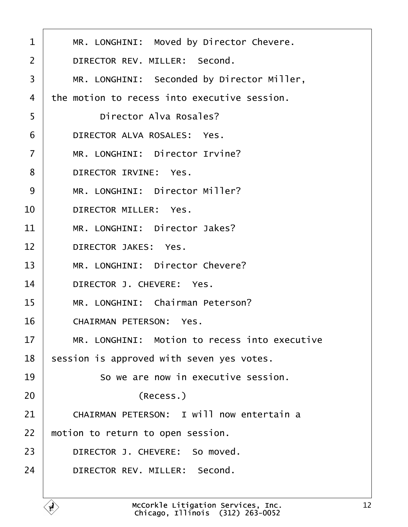<span id="page-11-0"></span>

| 1              | MR. LONGHINI: Moved by Director Chevere.         |
|----------------|--------------------------------------------------|
| 2              | DIRECTOR REV. MILLER: Second.                    |
| 3              | MR. LONGHINI: Seconded by Director Miller,       |
| 4              | the motion to recess into executive session.     |
| 5              | Director Alva Rosales?                           |
| 6              | DIRECTOR ALVA ROSALES: Yes.                      |
| $\overline{7}$ | MR. LONGHINI: Director Irvine?                   |
| 8              | DIRECTOR IRVINE: Yes.                            |
| 9              | MR. LONGHINI: Director Miller?                   |
| 10             | <b>DIRECTOR MILLER: Yes.</b>                     |
| 11             | MR. LONGHINI: Director Jakes?                    |
| 12             | <b>DIRECTOR JAKES: Yes.</b>                      |
| 13             | MR. LONGHINI: Director Chevere?                  |
| 14             | DIRECTOR J. CHEVERE: Yes.                        |
| 15             | MR. LONGHINI: Chairman Peterson?                 |
| 16             | <b>CHAIRMAN PETERSON: Yes.</b>                   |
| 17             | MR. LONGHINI: Motion to recess into executive    |
| 18             | session is approved with seven yes votes.        |
| 19             | So we are now in executive session.              |
| 20             | (Recess.)                                        |
| 21             | <b>CHAIRMAN PETERSON: I will now entertain a</b> |
| 22             | motion to return to open session.                |
| 23             | DIRECTOR J. CHEVERE: So moved.                   |
| 24             | DIRECTOR REV. MILLER: Second.                    |
|                |                                                  |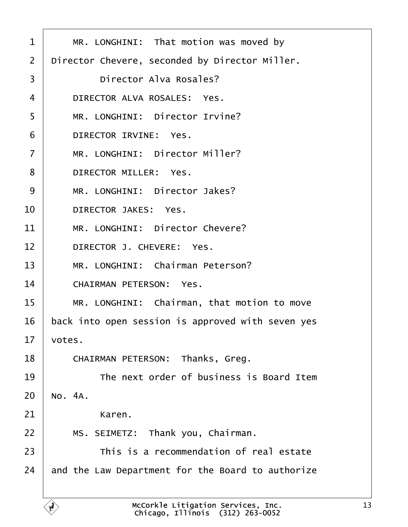<span id="page-12-0"></span>

| 1              | MR. LONGHINI: That motion was moved by            |
|----------------|---------------------------------------------------|
| 2              | Director Chevere, seconded by Director Miller.    |
| 3              | Director Alva Rosales?                            |
| 4              | DIRECTOR ALVA ROSALES: Yes.                       |
| 5              | MR. LONGHINI: Director Irvine?                    |
| 6              | DIRECTOR IRVINE: Yes.                             |
| $\overline{7}$ | MR. LONGHINI: Director Miller?                    |
| 8              | <b>DIRECTOR MILLER: Yes.</b>                      |
| 9              | MR. LONGHINI: Director Jakes?                     |
| 10             | <b>DIRECTOR JAKES: Yes.</b>                       |
| 11             | MR. LONGHINI: Director Chevere?                   |
| 12             | DIRECTOR J. CHEVERE: Yes.                         |
| 13             | MR. LONGHINI: Chairman Peterson?                  |
| 14             | <b>CHAIRMAN PETERSON: Yes.</b>                    |
| 15             | MR. LONGHINI: Chairman, that motion to move       |
| 16             | back into open session is approved with seven yes |
| 17             | votes.                                            |
| 18             | <b>CHAIRMAN PETERSON: Thanks, Greg.</b>           |
| 19             | The next order of business is Board Item          |
| 20             | No. 4A.                                           |
| 21             | Karen.                                            |
| 22             | MS. SEIMETZ: Thank you, Chairman.                 |
| 23             | This is a recommendation of real estate           |
| 24             | and the Law Department for the Board to authorize |
|                |                                                   |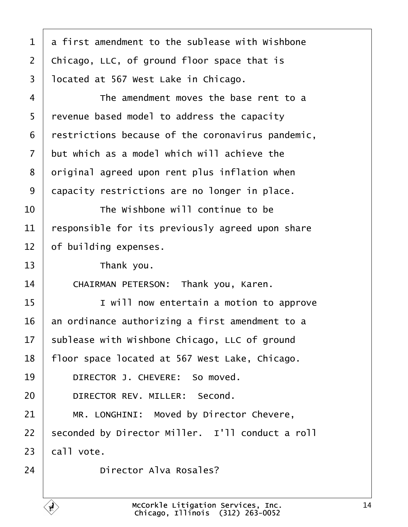<span id="page-13-0"></span>

| a first amendment to the sublease with Wishbone   |
|---------------------------------------------------|
|                                                   |
| Chicago, LLC, of ground floor space that is       |
| Ipcated at 567 West Lake in Chicago.              |
| The amendment moves the base rent to a            |
| revenue based model to address the capacity       |
| restrictions because of the coronavirus pandemic, |
| but which as a model which will achieve the       |
| driginal agreed upon rent plus inflation when     |
| dapacity restrictions are no longer in place.     |
| The Wishbone will continue to be                  |
| responsible for its previously agreed upon share  |
| of building expenses.                             |
| Thank you.                                        |
| CHAIRMAN PETERSON: Thank you, Karen.              |
| I will now entertain a motion to approve          |
| an ordinance authorizing a first amendment to a   |
| sublease with Wishbone Chicago, LLC of ground     |
| floor space located at 567 West Lake, Chicago.    |
| DIRECTOR J. CHEVERE: So moved.                    |
| DIRECTOR REV. MILLER: Second.                     |
| MR. LONGHINI: Moved by Director Chevere,          |
| seconded by Director Miller. I'll conduct a roll  |
| call vote.                                        |
|                                                   |
|                                                   |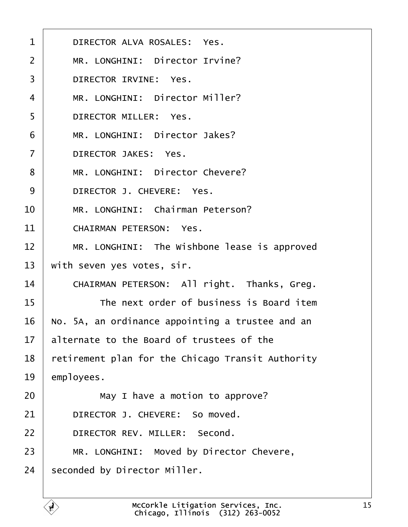<span id="page-14-0"></span>

| $\mathbf 1$    | DIRECTOR ALVA ROSALES: Yes.                       |
|----------------|---------------------------------------------------|
| 2              | MR. LONGHINI: Director Irvine?                    |
| 3              | DIRECTOR IRVINE: Yes.                             |
| 4              | MR. LONGHINI: Director Miller?                    |
| 5              | <b>DIRECTOR MILLER: Yes.</b>                      |
| 6              | MR. LONGHINI: Director Jakes?                     |
| $\overline{7}$ | <b>DIRECTOR JAKES: Yes.</b>                       |
| 8              | MR. LONGHINI: Director Chevere?                   |
| 9              | DIRECTOR J. CHEVERE: Yes.                         |
| 10             | MR. LONGHINI: Chairman Peterson?                  |
| 11             | <b>CHAIRMAN PETERSON: Yes.</b>                    |
| 12             | MR. LONGHINI: The Wishbone lease is approved      |
| 13             | with seven yes votes, sir.                        |
| 14             | CHAIRMAN PETERSON: All right. Thanks, Greg.       |
| 15             | The next order of business is Board item          |
| 16             | No. 5A, an ordinance appointing a trustee and an  |
| 17             | alternate to the Board of trustees of the         |
| 18             | retirement plan for the Chicago Transit Authority |
| 19             | employees.                                        |
| 20             | May I have a motion to approve?                   |
| 21             | DIRECTOR J. CHEVERE: So moved.                    |
| 22             | DIRECTOR REV. MILLER: Second.                     |
| 23             | MR. LONGHINI: Moved by Director Chevere,          |
| 24             | seconded by Director Miller.                      |
|                |                                                   |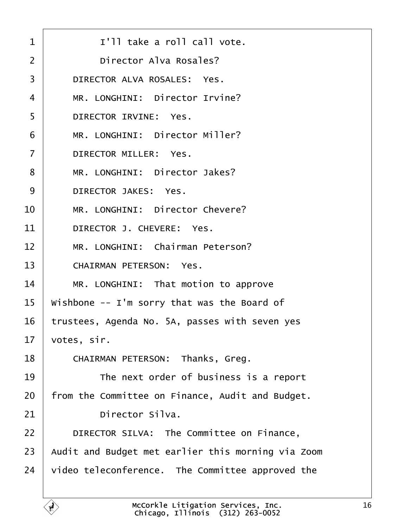<span id="page-15-0"></span>

| $\mathbf 1$    | I'll take a roll call vote.                        |
|----------------|----------------------------------------------------|
| 2              | <b>Director Alva Rosales?</b>                      |
| 3              | DIRECTOR ALVA ROSALES: Yes.                        |
| 4              | MR. LONGHINI: Director Irvine?                     |
| 5              | DIRECTOR IRVINE: Yes.                              |
| 6              | MR. LONGHINI: Director Miller?                     |
| $\overline{7}$ | <b>DIRECTOR MILLER: Yes.</b>                       |
| 8              | MR. LONGHINI: Director Jakes?                      |
| 9              | <b>DIRECTOR JAKES: Yes.</b>                        |
| 10             | MR. LONGHINI: Director Chevere?                    |
| 11             | DIRECTOR J. CHEVERE: Yes.                          |
| 12             | MR. LONGHINI: Chairman Peterson?                   |
| 13             | <b>CHAIRMAN PETERSON: Yes.</b>                     |
| 14             | MR. LONGHINI: That motion to approve               |
| 15             | Wishbone -- I'm sorry that was the Board of        |
| 16             | trustees, Agenda No. 5A, passes with seven yes     |
| 17             | votes, sir.                                        |
| 18             | CHAIRMAN PETERSON: Thanks, Greg.                   |
| 19             | The next order of business is a report             |
| 20             | from the Committee on Finance, Audit and Budget.   |
| 21             | Director Silva.                                    |
| 22             | DIRECTOR SILVA: The Committee on Finance,          |
| 23             | Audit and Budget met earlier this morning via Zoom |
| 24             | video teleconference. The Committee approved the   |
|                |                                                    |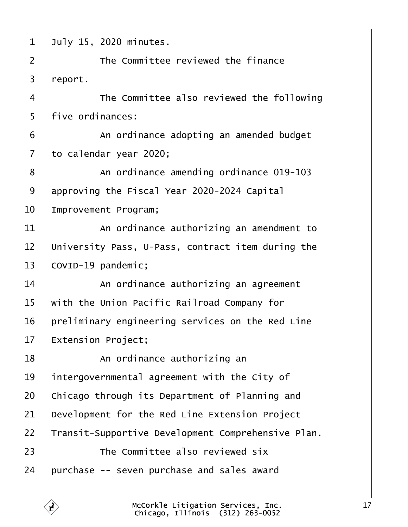<span id="page-16-0"></span>

| 1  | July 15, 2020 minutes.                             |
|----|----------------------------------------------------|
| 2  | The Committee reviewed the finance                 |
| 3  | report.                                            |
| 4  | The Committee also reviewed the following          |
| 5  | five ordinances:                                   |
| 6  | An ordinance adopting an amended budget            |
| 7  | to calendar year 2020;                             |
| 8  | An ordinance amending ordinance 019-103            |
| 9  | approving the Fiscal Year 2020-2024 Capital        |
| 10 | Improvement Program;                               |
| 11 | An ordinance authorizing an amendment to           |
| 12 | University Pass, U-Pass, contract item during the  |
| 13 | COVID-19 pandemic;                                 |
| 14 | An ordinance authorizing an agreement              |
| 15 | with the Union Pacific Railroad Company for        |
| 16 | preliminary engineering services on the Red Line   |
| 17 | <b>Extension Project;</b>                          |
| 18 | An ordinance authorizing an                        |
| 19 | intergovernmental agreement with the City of       |
| 20 | Chicago through its Department of Planning and     |
| 21 | Development for the Red Line Extension Project     |
| 22 | Transit-Supportive Development Comprehensive Plan. |
| 23 | The Committee also reviewed six                    |
| 24 | purchase -- seven purchase and sales award         |
|    |                                                    |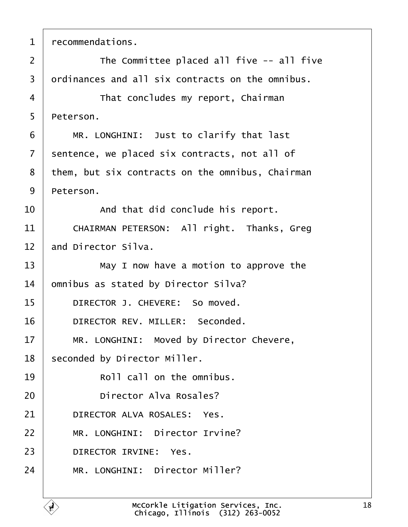<span id="page-17-0"></span>

| 1              | recommendations.                                 |
|----------------|--------------------------------------------------|
| $\overline{2}$ | The Committee placed all five -- all five        |
| 3              | drdinances and all six contracts on the omnibus. |
| $\overline{4}$ | That concludes my report, Chairman               |
| 5              | Peterson.                                        |
| 6              | MR. LONGHINI: Just to clarify that last          |
| $\overline{7}$ | sentence, we placed six contracts, not all of    |
| 8              | them, but six contracts on the omnibus, Chairman |
| 9              | Peterson.                                        |
| 10             | And that did conclude his report.                |
| 11             | CHAIRMAN PETERSON: All right. Thanks, Greg       |
| 12             | and Director Silva.                              |
| 13             | May I now have a motion to approve the           |
| 14             | omnibus as stated by Director Silva?             |
| 15             | DIRECTOR J. CHEVERE: So moved.                   |
| 16             | DIRECTOR REV. MILLER: Seconded.                  |
| 17             | MR. LONGHINI: Moved by Director Chevere,         |
| 18             | seconded by Director Miller.                     |
| 19             | Roll call on the omnibus.                        |
| 20             | Director Alva Rosales?                           |
| 21             | DIRECTOR ALVA ROSALES: Yes.                      |
| 22             | MR. LONGHINI: Director Irvine?                   |
| 23             | DIRECTOR IRVINE: Yes.                            |
| 24             | MR. LONGHINI: Director Miller?                   |
|                |                                                  |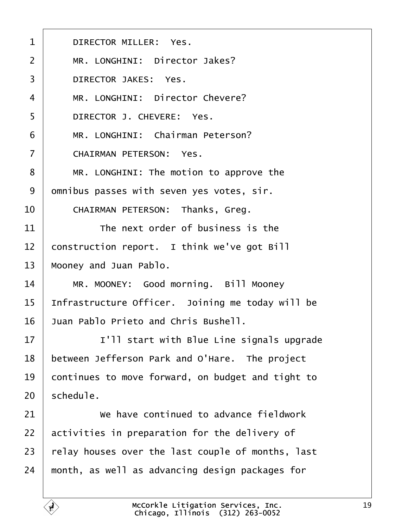<span id="page-18-0"></span>

| 1               | <b>DIRECTOR MILLER: Yes.</b>                      |
|-----------------|---------------------------------------------------|
| 2               | MR. LONGHINI: Director Jakes?                     |
| 3               | <b>DIRECTOR JAKES: Yes.</b>                       |
| 4               | MR. LONGHINI: Director Chevere?                   |
| 5               | DIRECTOR J. CHEVERE: Yes.                         |
| 6               | MR. LONGHINI: Chairman Peterson?                  |
| $\overline{7}$  | <b>CHAIRMAN PETERSON: Yes.</b>                    |
| 8               | MR. LONGHINI: The motion to approve the           |
| 9               | dmnibus passes with seven yes votes, sir.         |
| 10              | <b>CHAIRMAN PETERSON: Thanks, Greg.</b>           |
| 11              | The next order of business is the                 |
| 12 <sub>2</sub> | construction report. I think we've got Bill       |
| 13              | Mooney and Juan Pablo.                            |
| 14              | MR. MOONEY: Good morning. Bill Mooney             |
| 15              | Infrastructure Officer. Joining me today will be  |
| 16              | <b>Juan Pablo Prieto and Chris Bushell.</b>       |
| 17              | I'll start with Blue Line signals upgrade         |
| 18              | between Jefferson Park and O'Hare. The project    |
| 19              | continues to move forward, on budget and tight to |
| 20              | schedule.                                         |
| 21              | We have continued to advance fieldwork            |
| 22              | activities in preparation for the delivery of     |
| 23              | relay houses over the last couple of months, last |
| 24              | month, as well as advancing design packages for   |
|                 |                                                   |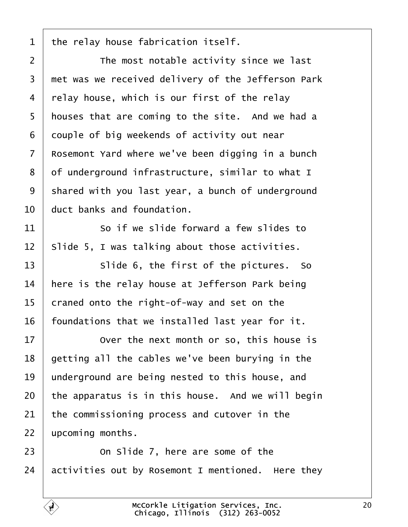<span id="page-19-0"></span>

| $\mathbf 1$    | the relay house fabrication itself.                 |
|----------------|-----------------------------------------------------|
| $\overline{2}$ | The most notable activity since we last             |
| 3              | thet was we received delivery of the Jefferson Park |
| 4              | relay house, which is our first of the relay        |
| 5              | houses that are coming to the site. And we had a    |
| 6              | douple of big weekends of activity out near         |
| $\overline{7}$ | Rosemont Yard where we've been digging in a bunch   |
| 8              | of underground infrastructure, similar to what I    |
| 9              | shared with you last year, a bunch of underground   |
| 10             | duct banks and foundation.                          |
| 11             | So if we slide forward a few slides to              |
| 12             | Slide 5, I was talking about those activities.      |
| 13             | Slide 6, the first of the pictures. So              |
| 14             | here is the relay house at Jefferson Park being     |
| 15             | craned onto the right-of-way and set on the         |
| 16             | foundations that we installed last year for it.     |
| 17             | Over the next month or so, this house is            |
| 18             | getting all the cables we've been burying in the    |
| 19             | underground are being nested to this house, and     |
| 20             | the apparatus is in this house. And we will begin   |
| 21             | the commissioning process and cutover in the        |
| 22             | upcoming months.                                    |
| 23             | On Slide 7, here are some of the                    |
| 24             | activities out by Rosemont I mentioned. Here they   |

Г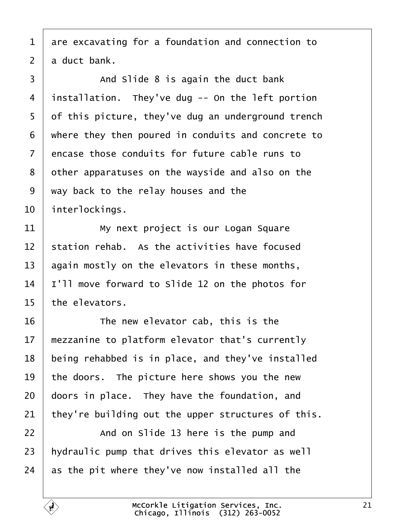- <span id="page-20-0"></span>1 are excavating for a foundation and connection to
- 2 a duct bank.

 $3 \mid$  And Slide 8 is again the duct bank 4 installation. They've dug -- On the left portion 5 df this picture, they've dug an underground trench ·6· ·where they then poured in conduits and concrete to 7 encase those conduits for future cable runs to 8 dther apparatuses on the wayside and also on the ·9· ·way back to the relay houses and the 10 interlockings. 11 | My next project is our Logan Square 12 station rehab. As the activities have focused 13 again mostly on the elevators in these months, 14 |'Il move forward to Slide 12 on the photos for 15 the elevators.  $16$   $\parallel$  The new elevator cab, this is the 17 mezzanine to platform elevator that's currently 18 being rehabbed is in place, and they've installed 19 the doors. The picture here shows you the new 20 doors in place. They have the foundation, and 21 they're building out the upper structures of this.  $22$   $\parallel$  And on Slide 13 here is the pump and 23 hydraulic pump that drives this elevator as well 24 as the pit where they've now installed all the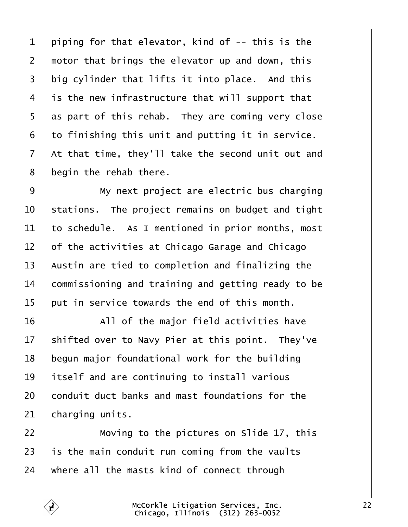<span id="page-21-0"></span>

| 1              | piping for that elevator, kind of -- this is the   |
|----------------|----------------------------------------------------|
| $\overline{2}$ | motor that brings the elevator up and down, this   |
| 3              | big cylinder that lifts it into place. And this    |
| 4              | is the new infrastructure that will support that   |
| 5              | as part of this rehab. They are coming very close  |
| 6              | to finishing this unit and putting it in service.  |
| 7              | At that time, they'll take the second unit out and |
| 8              | begin the rehab there.                             |
| 9              | My next project are electric bus charging          |
| 10             | stations. The project remains on budget and tight  |
| 11             | to schedule. As I mentioned in prior months, most  |
| 12             | of the activities at Chicago Garage and Chicago    |
| 13             | Austin are tied to completion and finalizing the   |
| 14             | commissioning and training and getting ready to be |
| 15             | put in service towards the end of this month.      |
| 16             | All of the major field activities have             |
| 17             | shifted over to Navy Pier at this point. They've   |
| 18             | begun major foundational work for the building     |
| 19             | itself and are continuing to install various       |
| 20             | conduit duct banks and mast foundations for the    |
| 21             | charging units.                                    |
| 22             | Moving to the pictures on Slide 17, this           |
| 23             | is the main conduit run coming from the vaults     |
| 24             | where all the masts kind of connect through        |
|                |                                                    |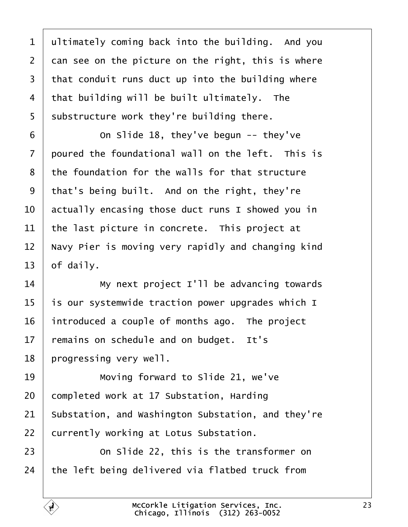<span id="page-22-0"></span>

| 1              | ultimately coming back into the building. And you  |
|----------------|----------------------------------------------------|
| $\overline{2}$ | dan see on the picture on the right, this is where |
| 3              | that conduit runs duct up into the building where  |
| 4              | that building will be built ultimately. The        |
| 5              | substructure work they're building there.          |
| 6              | On Slide 18, they've begun -- they've              |
| $\overline{7}$ | poured the foundational wall on the left. This is  |
| 8              | the foundation for the walls for that structure    |
| 9              | that's being built. And on the right, they're      |
| 10             | actually encasing those duct runs I showed you in  |
| 11             | the last picture in concrete. This project at      |
| 12             | Navy Pier is moving very rapidly and changing kind |
| 13             | of daily.                                          |
| 14             | My next project I'll be advancing towards          |
| 15             | is our systemwide traction power upgrades which I  |
| 16             | introduced a couple of months ago. The project     |
| 17             | remains on schedule and on budget. It's            |
| 18             | progressing very well.                             |
| 19             | Moving forward to Slide 21, we've                  |
| 20             | completed work at 17 Substation, Harding           |
| 21             | Substation, and Washington Substation, and they're |
| 22             | currently working at Lotus Substation.             |
| 23             | On Slide 22, this is the transformer on            |
| 24             | the left being delivered via flatbed truck from    |
|                |                                                    |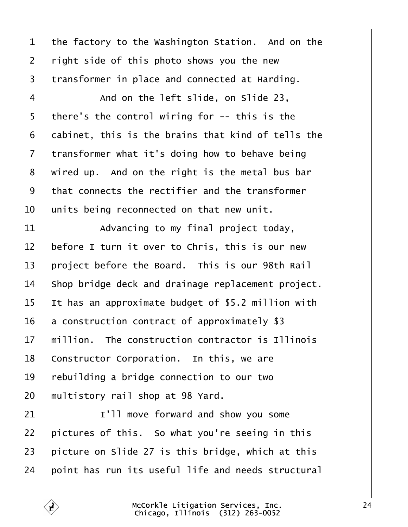<span id="page-23-0"></span>

| 1              | the factory to the Washington Station. And on the  |
|----------------|----------------------------------------------------|
| $\overline{2}$ | right side of this photo shows you the new         |
| 3              | transformer in place and connected at Harding.     |
| 4              | And on the left slide, on Slide 23,                |
| 5              | there's the control wiring for -- this is the      |
| 6              | dabinet, this is the brains that kind of tells the |
| $\overline{7}$ | transformer what it's doing how to behave being    |
| 8              | wired up. And on the right is the metal bus bar    |
| 9              | that connects the rectifier and the transformer    |
| 10             | units being reconnected on that new unit.          |
| 11             | Advancing to my final project today,               |
| 12             | before I turn it over to Chris, this is our new    |
| 13             | project before the Board. This is our 98th Rail    |
| 14             | Shop bridge deck and drainage replacement project. |
| 15             | It has an approximate budget of \$5.2 million with |
| 16             | a construction contract of approximately \$3       |
| 17             | million. The construction contractor is Illinois   |
| 18             | Constructor Corporation. In this, we are           |
| 19             | rebuilding a bridge connection to our two          |
| 20             | multistory rail shop at 98 Yard.                   |
| 21             | I'll move forward and show you some                |
| 22             | pictures of this. So what you're seeing in this    |
| 23             | picture on Slide 27 is this bridge, which at this  |
| 24             | point has run its useful life and needs structural |
|                |                                                    |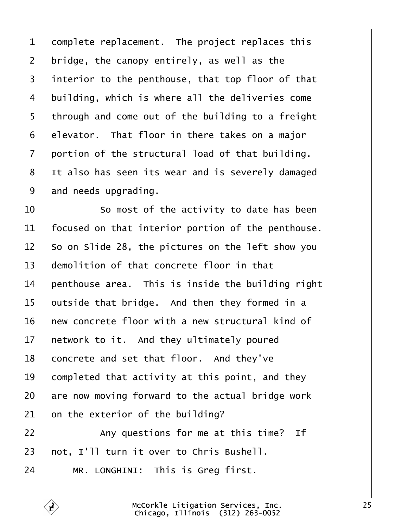<span id="page-24-0"></span>

| 1               | domplete replacement. The project replaces this    |
|-----------------|----------------------------------------------------|
| $\overline{2}$  | bridge, the canopy entirely, as well as the        |
| 3               | interior to the penthouse, that top floor of that  |
| 4               | building, which is where all the deliveries come   |
| 5               | through and come out of the building to a freight  |
| 6               | elevator. That floor in there takes on a major     |
| $\overline{7}$  | portion of the structural load of that building.   |
| 8               | It also has seen its wear and is severely damaged  |
| 9               | and needs upgrading.                               |
| 10              | So most of the activity to date has been           |
| 11              | focused on that interior portion of the penthouse. |
| 12              | So on Slide 28, the pictures on the left show you  |
| 13              | demolition of that concrete floor in that          |
| 14              | penthouse area. This is inside the building right  |
| 15              | putside that bridge. And then they formed in a     |
| 16              | hew concrete floor with a new structural kind of   |
| 17 <sub>1</sub> | hetwork to it. And they ultimately poured          |
| 18              | concrete and set that floor. And they've           |
| 19              | completed that activity at this point, and they    |
| 20              | are now moving forward to the actual bridge work   |
| 21              | on the exterior of the building?                   |
| 22              | Any questions for me at this time? If              |
| 23              | not, I'll turn it over to Chris Bushell.           |
| 24              | MR. LONGHINI: This is Greg first.                  |

 $\overline{1}$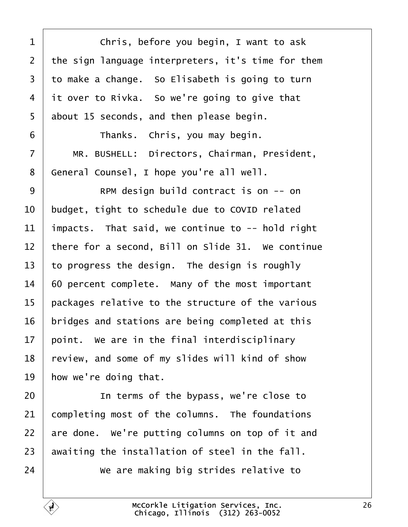<span id="page-25-0"></span>

|                | Chris, before you begin, I want to ask             |
|----------------|----------------------------------------------------|
| 2              | the sign language interpreters, it's time for them |
| 3              | to make a change. So Elisabeth is going to turn    |
| 4              | it over to Rivka. So we're going to give that      |
| 5              | about 15 seconds, and then please begin.           |
| 6              | Thanks. Chris, you may begin.                      |
| $\overline{7}$ | MR. BUSHELL: Directors, Chairman, President,       |
| 8              | General Counsel, I hope you're all well.           |
| 9              | RPM design build contract is on -- on              |
| 10             | budget, tight to schedule due to COVID related     |
| 11             | impacts. That said, we continue to -- hold right   |
| 12             | there for a second, Bill on Slide 31. We continue  |
| 13             | to progress the design. The design is roughly      |
| 14             | 60 percent complete. Many of the most important    |
| 15             | packages relative to the structure of the various  |
| 16             | bridges and stations are being completed at this   |
| 17             | point. We are in the final interdisciplinary       |
| 18             | review, and some of my slides will kind of show    |
| 19             | how we're doing that.                              |
| 20             | In terms of the bypass, we're close to             |
| 21             | completing most of the columns. The foundations    |
| 22             | are done. We're putting columns on top of it and   |
| 23             | awaiting the installation of steel in the fall.    |
| 24             | We are making big strides relative to              |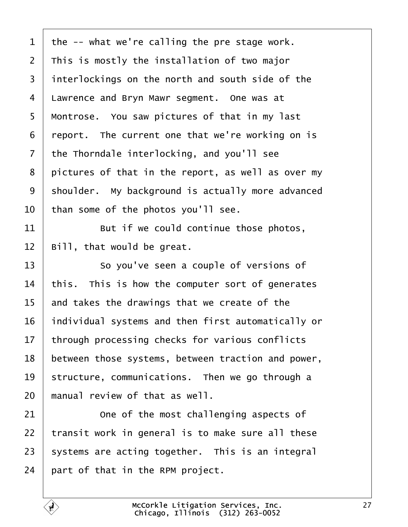<span id="page-26-0"></span>

| 1               | the -- what we're calling the pre stage work.      |
|-----------------|----------------------------------------------------|
| $\overline{2}$  | This is mostly the installation of two major       |
| 3               | interlockings on the north and south side of the   |
| 4               | Lawrence and Bryn Mawr segment. One was at         |
| 5               | Montrose. You saw pictures of that in my last      |
| 6               | report. The current one that we're working on is   |
| $\overline{7}$  | the Thorndale interlocking, and you'll see         |
| 8               | pictures of that in the report, as well as over my |
| 9               | shoulder. My background is actually more advanced  |
| 10              | than some of the photos you'll see.                |
| 11              | But if we could continue those photos,             |
| 12              | Bill, that would be great.                         |
| 13              | So you've seen a couple of versions of             |
| 14              | this. This is how the computer sort of generates   |
| 15              | and takes the drawings that we create of the       |
| 16              | individual systems and then first automatically or |
| 17 <sub>1</sub> | through processing checks for various conflicts    |
| 18              | between those systems, between traction and power, |
| 19              | structure, communications. Then we go through a    |
| 20              | manual review of that as well.                     |
| 21              | One of the most challenging aspects of             |
| 22              | transit work in general is to make sure all these  |
| 23              | systems are acting together. This is an integral   |
| 24              | part of that in the RPM project.                   |
|                 |                                                    |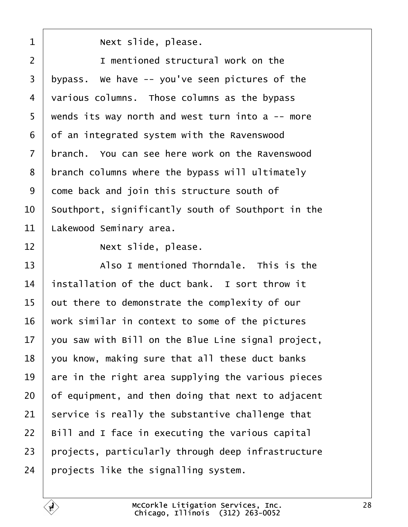<span id="page-27-0"></span>

| 1              | Next slide, please.                                |
|----------------|----------------------------------------------------|
| 2              | I mentioned structural work on the                 |
| 3              | typass. We have -- you've seen pictures of the     |
| 4              | various columns. Those columns as the bypass       |
| 5              | wends its way north and west turn into a -- more   |
| 6              | of an integrated system with the Ravenswood        |
| $\overline{7}$ | branch. You can see here work on the Ravenswood    |
| 8              | branch columns where the bypass will ultimately    |
| 9              | dome back and join this structure south of         |
| 10             | Southport, significantly south of Southport in the |
| 11             | akewood Seminary area.                             |
| 12             | Next slide, please.                                |
| 13             | Also I mentioned Thorndale. This is the            |
| 14             | installation of the duct bank. I sort throw it     |
| 15             | out there to demonstrate the complexity of our     |
| 16             | work similar in context to some of the pictures    |
| 17             | you saw with Bill on the Blue Line signal project, |
| 18             | you know, making sure that all these duct banks    |
| 19             | are in the right area supplying the various pieces |
| 20             | of equipment, and then doing that next to adjacent |
| 21             | service is really the substantive challenge that   |
| 22             | Bill and I face in executing the various capital   |
| 23             | projects, particularly through deep infrastructure |
| 24             | projects like the signalling system.               |
|                |                                                    |

 $\sqrt{ }$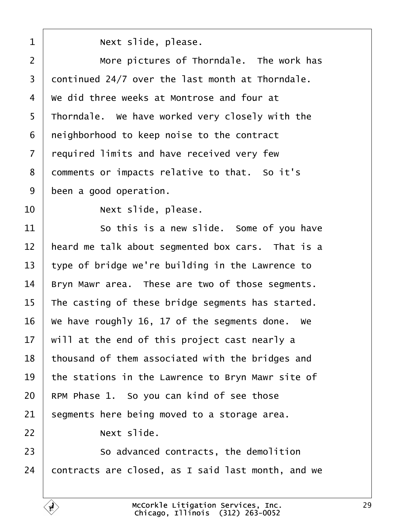<span id="page-28-0"></span>

| 1              | Next slide, please.                                |
|----------------|----------------------------------------------------|
| $\overline{2}$ | More pictures of Thorndale. The work has           |
| 3              | dontinued 24/7 over the last month at Thorndale.   |
| 4              | We did three weeks at Montrose and four at         |
| 5              | Thorndale. We have worked very closely with the    |
| 6              | neighborhood to keep noise to the contract         |
| $\overline{7}$ | required limits and have received very few         |
| 8              | domments or impacts relative to that. So it's      |
| 9              | been a good operation.                             |
| 10             | Next slide, please.                                |
| 11             | So this is a new slide. Some of you have           |
| 12             | heard me talk about segmented box cars. That is a  |
| 13             | type of bridge we're building in the Lawrence to   |
| 14             | Bryn Mawr area. These are two of those segments.   |
| 15             | The casting of these bridge segments has started.  |
| 16             | We have roughly 16, 17 of the segments done. We    |
| 17             | will at the end of this project cast nearly a      |
| 18             | thousand of them associated with the bridges and   |
| 19             | the stations in the Lawrence to Bryn Mawr site of  |
| 20             | RPM Phase 1. So you can kind of see those          |
| 21             | segments here being moved to a storage area.       |
| 22             | Next slide.                                        |
| 23             | So advanced contracts, the demolition              |
| 24             | contracts are closed, as I said last month, and we |
|                |                                                    |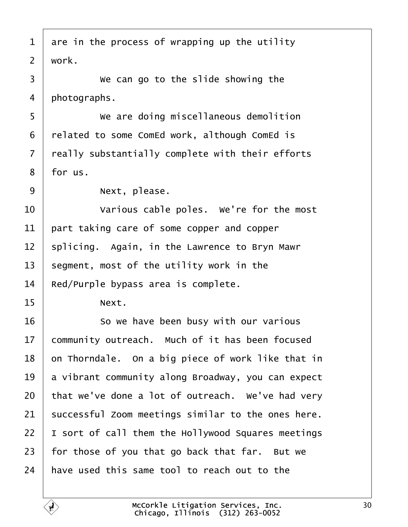<span id="page-29-0"></span>

| 1              | are in the process of wrapping up the utility      |
|----------------|----------------------------------------------------|
| $\overline{2}$ | work.                                              |
| 3              | We can go to the slide showing the                 |
| 4              | photographs.                                       |
| 5              | We are doing miscellaneous demolition              |
| 6              | related to some ComEd work, although ComEd is      |
| $\overline{7}$ | really substantially complete with their efforts   |
| 8              | for us.                                            |
| 9              | Next, please.                                      |
| 10             | Various cable poles. We're for the most            |
| 11             | part taking care of some copper and copper         |
| 12             | splicing. Again, in the Lawrence to Bryn Mawr      |
| 13             | segment, most of the utility work in the           |
| 14             | Red/Purple bypass area is complete.                |
| 15             | Next.                                              |
| 16             | So we have been busy with our various              |
| 17             | community outreach. Much of it has been focused    |
| 18             | on Thorndale. On a big piece of work like that in  |
| 19             | a vibrant community along Broadway, you can expect |
| 20             | that we've done a lot of outreach. We've had very  |
| 21             | successful Zoom meetings similar to the ones here. |
| 22             | sort of call them the Hollywood Squares meetings   |
| 23             | for those of you that go back that far. But we     |
| 24             | have used this same tool to reach out to the       |
|                |                                                    |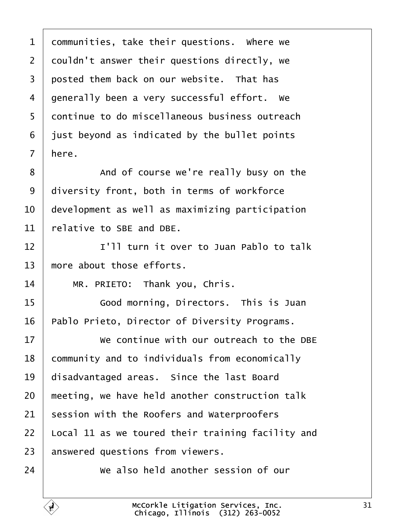<span id="page-30-0"></span>

| 1              | dommunities, take their questions. Where we       |
|----------------|---------------------------------------------------|
| 2              | douldn't answer their questions directly, we      |
| 3              | posted them back on our website. That has         |
| 4              | generally been a very successful effort. We       |
| 5              | dontinue to do miscellaneous business outreach    |
| 6              | just beyond as indicated by the bullet points     |
| $\overline{7}$ | here.                                             |
| 8              | And of course we're really busy on the            |
| 9              | diversity front, both in terms of workforce       |
| 10             | development as well as maximizing participation   |
| 11             | relative to SBE and DBE.                          |
| 12             | I'll turn it over to Juan Pablo to talk           |
| 13             | more about those efforts.                         |
| 14             | MR. PRIETO: Thank you, Chris.                     |
| 15             | Good morning, Directors. This is Juan             |
| 16             | Pablo Prieto, Director of Diversity Programs.     |
| 17             | We continue with our outreach to the DBE          |
| 18             | community and to individuals from economically    |
| 19             | disadvantaged areas. Since the last Board         |
| 20             | meeting, we have held another construction talk   |
| 21             | session with the Roofers and Waterproofers        |
| 22             | Local 11 as we toured their training facility and |
| 23             | answered questions from viewers.                  |
| 24             | We also held another session of our               |

Г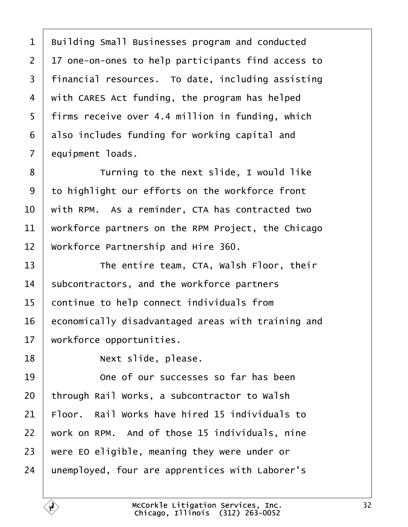<span id="page-31-0"></span>1 Building Small Businesses program and conducted ·2· ·17 one-on-ones to help participants find access to 3 financial resources. To date, including assisting 4 with CARES Act funding, the program has helped 5 firms receive over 4.4 million in funding, which 6 also includes funding for working capital and 7 equipment loads. 8 **Turning to the next slide, I would like** 9 to highlight our efforts on the workforce front 10 with RPM. As a reminder, CTA has contracted two 11 workforce partners on the RPM Project, the Chicago 12 Workforce Partnership and Hire 360. 13 **The entire team, CTA, Walsh Floor, their** 14 subcontractors, and the workforce partners 15 continue to help connect individuals from 16 economically disadvantaged areas with training and 17 workforce opportunities. 18 | Next slide, please. 19 **1** One of our successes so far has been 20 through Rail Works, a subcontractor to Walsh 21 Floor. Rail Works have hired 15 individuals to 22 work on RPM. And of those 15 individuals, nine 23 were EO eligible, meaning they were under or 24 unemployed, four are apprentices with Laborer's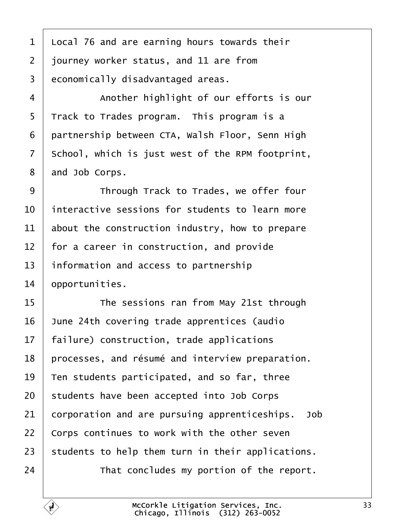<span id="page-32-0"></span>1 Local 76 and are earning hours towards their 2 journey worker status, and 11 are from 3 economically disadvantaged areas. 4 | Another highlight of our efforts is our  $5\;$  Track to Trades program. This program is a 6 partnership between CTA, Walsh Floor, Senn High 7 School, which is just west of the RPM footprint, 8 and Job Corps. 9 **I** Through Track to Trades, we offer four 10 interactive sessions for students to learn more 11 about the construction industry, how to prepare 12 for a career in construction, and provide 13 information and access to partnership 14 *opportunities.* 15 **The sessions ran from May 21st through** 16· ·June 24th covering trade apprentices (audio 17 failure) construction, trade applications 18 processes, and résumé and interview preparation. 19 Ten students participated, and so far, three 20 students have been accepted into Job Corps 21 corporation and are pursuing apprenticeships. Job 22 Corps continues to work with the other seven 23 students to help them turn in their applications.  $24$  <sup> $\parallel$ </sup> That concludes my portion of the report.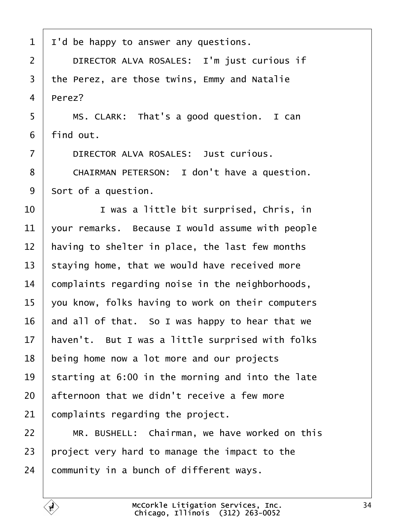- <span id="page-33-0"></span>1 I'd be happy to answer any questions.
- 2 | DIRECTOR ALVA ROSALES: I'm just curious if
- 3 the Perez, are those twins, Emmy and Natalie

4 Perez?

 $5 \mid$  MS. CLARK: That's a good question. I can

6 find out.

- 7 | DIRECTOR ALVA ROSALES: Just curious.
- 8 | CHAIRMAN PETERSON: I don't have a question.
- 9 Sort of a question.
- 10 **I** vas a little bit surprised, Chris, in
- 11 vour remarks. Because I would assume with people
- 12 having to shelter in place, the last few months
- 13 staying home, that we would have received more
- 14 complaints regarding noise in the neighborhoods,
- 15 you know, folks having to work on their computers
- 16 and all of that. So I was happy to hear that we
- 17 haven't. But I was a little surprised with folks
- 18 being home now a lot more and our projects
- 19 starting at 6:00 in the morning and into the late
- 20 afternoon that we didn't receive a few more
- 21 complaints regarding the project.
- 22 | MR. BUSHELL: Chairman, we have worked on this
- 23 project very hard to manage the impact to the
- 24 community in a bunch of different ways.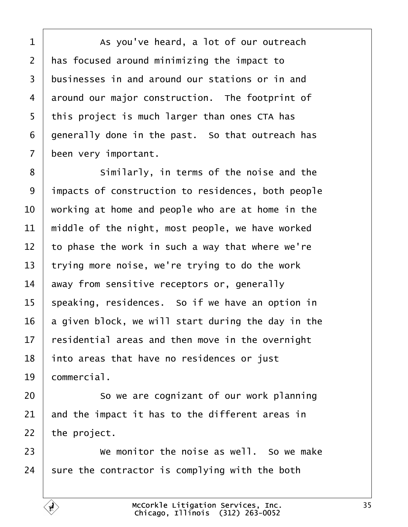<span id="page-34-0"></span> $1$   $\blacksquare$  As you've heard, a lot of our outreach 2 has focused around minimizing the impact to 3 businesses in and around our stations or in and 4 around our major construction. The footprint of 5 this project is much larger than ones CTA has 6 generally done in the past. So that outreach has 7 been very important. 8 **Similarly, in terms of the noise and the** 9 impacts of construction to residences, both people 10 working at home and people who are at home in the 11 middle of the night, most people, we have worked 12 to phase the work in such a way that where we're 13 trying more noise, we're trying to do the work 14 away from sensitive receptors or, generally 15 speaking, residences. So if we have an option in 16 a given block, we will start during the day in the 17 residential areas and then move in the overnight 18 into areas that have no residences or just 19 **commercial.** 20 **So we are cognizant of our work planning** 

21 and the impact it has to the different areas in

22 the project.

- $23 \mid$  We monitor the noise as well. So we make
- 24 sure the contractor is complying with the both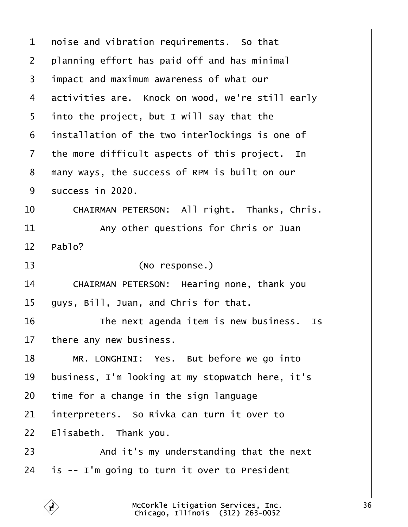<span id="page-35-0"></span>

| 1  | noise and vibration requirements. So that        |
|----|--------------------------------------------------|
| 2  | planning effort has paid off and has minimal     |
| 3  | impact and maximum awareness of what our         |
| 4  | activities are. Knock on wood, we're still early |
| 5  | into the project, but I will say that the        |
| 6  | installation of the two interlockings is one of  |
| 7  | the more difficult aspects of this project. In   |
| 8  | many ways, the success of RPM is built on our    |
| 9  | success in 2020.                                 |
| 10 | CHAIRMAN PETERSON: All right. Thanks, Chris.     |
| 11 | Any other questions for Chris or Juan            |
| 12 | Pablo?                                           |
|    |                                                  |
| 13 | (No response.)                                   |
| 14 | CHAIRMAN PETERSON: Hearing none, thank you       |
| 15 | guys, Bill, Juan, and Chris for that.            |
| 16 | The next agenda item is new business. Is         |
| 17 | there any new business.                          |
| 18 | MR. LONGHINI: Yes. But before we go into         |
| 19 | business, I'm looking at my stopwatch here, it's |
| 20 | time for a change in the sign language           |
| 21 | interpreters. So Rivka can turn it over to       |
| 22 | Elisabeth. Thank you.                            |
| 23 | And it's my understanding that the next          |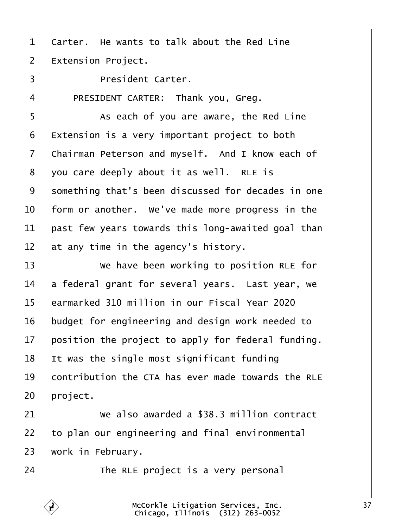- <span id="page-36-0"></span>1 Carter. He wants to talk about the Red Line
- 2  $\,$   $\rm\#x$  tension Project.
- 3 | President Carter.
- 4 | PRESIDENT CARTER: Thank you, Greg.
- 5 **As each of you are aware, the Red Line**
- $6$   $E$ xtension is a very important project to both
- 7 Chairman Peterson and myself. And I know each of
- 8 you care deeply about it as well. RLE is
- 9 something that's been discussed for decades in one
- 10 form or another. We've made more progress in the
- 11 bast few years towards this long-awaited goal than
- 12 at any time in the agency's history.
- 13 Ve have been working to position RLE for
- 14 a federal grant for several years. Last year, we
- 15 earmarked 310 million in our Fiscal Year 2020
- 16 budget for engineering and design work needed to
- 17 position the project to apply for federal funding.
- 18 It was the single most significant funding
- 19 contribution the CTA has ever made towards the RLE
- 20 project.
- 21 We also awarded a  $$38.3$  million contract
- 22 to plan our engineering and final environmental
- 23 work in February.
- $24$   $\parallel$  The RLE project is a very personal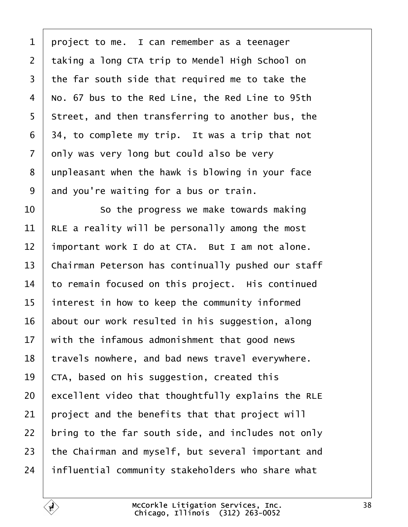<span id="page-37-0"></span>

| 1              | project to me. I can remember as a teenager        |
|----------------|----------------------------------------------------|
| $\overline{2}$ | taking a long CTA trip to Mendel High School on    |
| 3              | the far south side that required me to take the    |
| 4              | No. 67 bus to the Red Line, the Red Line to 95th   |
| 5              | Street, and then transferring to another bus, the  |
| 6              | 34, to complete my trip. It was a trip that not    |
| 7              | only was very long but could also be very          |
| 8              | unpleasant when the hawk is blowing in your face   |
| 9              | and you're waiting for a bus or train.             |
| 10             | So the progress we make towards making             |
| 11             | RLE a reality will be personally among the most    |
| 12             | important work I do at CTA. But I am not alone.    |
| 13             | Chairman Peterson has continually pushed our staff |
| 14             | to remain focused on this project. His continued   |
| 15             | interest in how to keep the community informed     |
| 16             | about our work resulted in his suggestion, along   |
| 17             | with the infamous admonishment that good news      |
| 18             | travels nowhere, and bad news travel everywhere.   |
| 19             | CTA, based on his suggestion, created this         |
| 20             | excellent video that thoughtfully explains the RLE |
| 21             | project and the benefits that that project will    |
| 22             | bring to the far south side, and includes not only |
| 23             | the Chairman and myself, but several important and |
| 24             | influential community stakeholders who share what  |
|                |                                                    |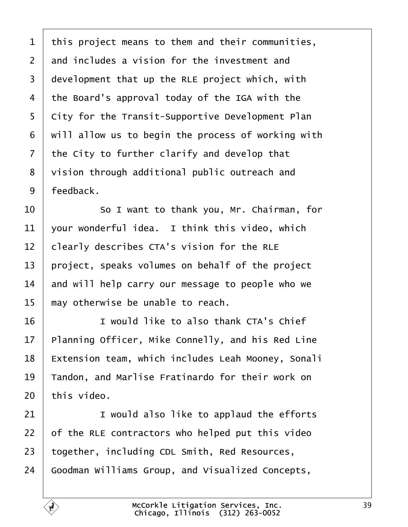<span id="page-38-0"></span>

|  |  |  |  |  |  |  |  | 1 this project means to them and their communities, |  |
|--|--|--|--|--|--|--|--|-----------------------------------------------------|--|
|--|--|--|--|--|--|--|--|-----------------------------------------------------|--|

- 2 and includes a vision for the investment and
- 3 development that up the RLE project which, with
- 4 the Board's approval today of the IGA with the
- 5 City for the Transit-Supportive Development Plan
- 6 will allow us to begin the process of working with
- 7 the City to further clarify and develop that
- 8 vision through additional public outreach and
- 9 feedback.
- 10 **So I want to thank you, Mr. Chairman, for**
- 11 vour wonderful idea. I think this video, which
- 12 **Clearly describes CTA's vision for the RLE**
- 13 project, speaks volumes on behalf of the project
- 14 and will help carry our message to people who we
- 15 may otherwise be unable to reach.
- 16 **I** I would like to also thank CTA's Chief
- 17 Planning Officer, Mike Connelly, and his Red Line
- 18 Extension team, which includes Leah Mooney, Sonali
- 19 Tandon, and Marlise Fratinardo for their work on
- $20$  this video.
- 21 **I** would also like to applaud the efforts
- 22 of the RLE contractors who helped put this video
- 23 together, including CDL Smith, Red Resources,
- 24 Goodman Williams Group, and Visualized Concepts,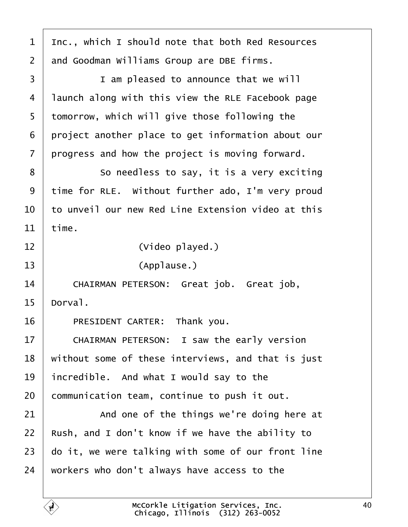<span id="page-39-0"></span>

| 1              | Inc., which I should note that both Red Resources  |
|----------------|----------------------------------------------------|
| $\overline{2}$ | and Goodman Williams Group are DBE firms.          |
| 3              | I am pleased to announce that we will              |
| 4              | launch along with this view the RLE Facebook page  |
| 5              | tomorrow, which will give those following the      |
| 6              | project another place to get information about our |
| 7              | progress and how the project is moving forward.    |
| 8              | So needless to say, it is a very exciting          |
| 9              | time for RLE. Without further ado, I'm very proud  |
| 10             | to unveil our new Red Line Extension video at this |
| 11             | time.                                              |
| 12             | (Video played.)                                    |
| 13             | (Applause.)                                        |
| 14             | CHAIRMAN PETERSON: Great job. Great job,           |
| 15             | Dorval.                                            |
| 16             | PRESIDENT CARTER: Thank you.                       |
| 17             | CHAIRMAN PETERSON: I saw the early version         |
| 18             | without some of these interviews, and that is just |
| 19             | incredible. And what I would say to the            |
| 20             | communication team, continue to push it out.       |
| 21             | And one of the things we're doing here at          |
| 22             | Rush, and I don't know if we have the ability to   |
| 23             | do it, we were talking with some of our front line |
| 24             | workers who don't always have access to the        |
|                |                                                    |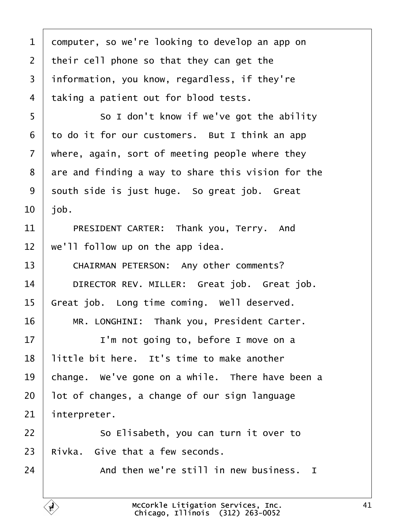<span id="page-40-0"></span>

| 1  | domputer, so we're looking to develop an app on    |
|----|----------------------------------------------------|
| 2  | their cell phone so that they can get the          |
| 3  | information, you know, regardless, if they're      |
| 4  | taking a patient out for blood tests.              |
| 5  | So I don't know if we've got the ability           |
| 6  | to do it for our customers. But I think an app     |
| 7  | where, again, sort of meeting people where they    |
| 8  | are and finding a way to share this vision for the |
| 9  | south side is just huge. So great job. Great       |
| 10 | job.                                               |
| 11 | PRESIDENT CARTER: Thank you, Terry. And            |
| 12 | we'll follow up on the app idea.                   |
| 13 | CHAIRMAN PETERSON: Any other comments?             |
| 14 | DIRECTOR REV. MILLER: Great job. Great job.        |
| 15 | Great job. Long time coming. Well deserved.        |
| 16 | MR. LONGHINI: Thank you, President Carter.         |
| 17 | I'm not going to, before I move on a               |
| 18 | little bit here. It's time to make another         |
| 19 | change. We've gone on a while. There have been a   |
| 20 | lot of changes, a change of our sign language      |
| 21 | interpreter.                                       |
| 22 | So Elisabeth, you can turn it over to              |
| 23 | Rivka. Give that a few seconds.                    |
| 24 | And then we're still in new business. I            |
|    |                                                    |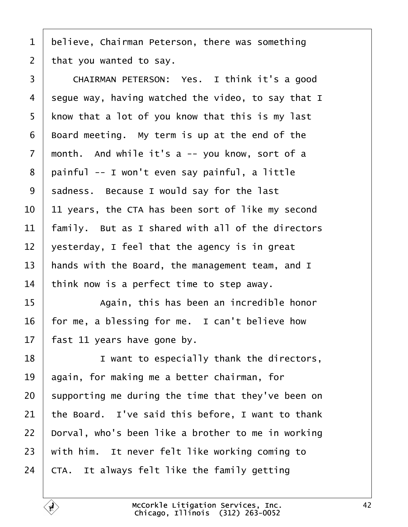<span id="page-41-0"></span>

|  |  |  |  |  |  | 1 believe, Chairman Peterson, there was something |
|--|--|--|--|--|--|---------------------------------------------------|
|--|--|--|--|--|--|---------------------------------------------------|

2 that you wanted to say.

| 3               | CHAIRMAN PETERSON: Yes. I think it's a good        |
|-----------------|----------------------------------------------------|
| 4               | segue way, having watched the video, to say that I |
| 5               | know that a lot of you know that this is my last   |
| 6               | Board meeting. My term is up at the end of the     |
| 7               | month. And while it's a -- you know, sort of a     |
| 8               | painful -- I won't even say painful, a little      |
| 9               | sadness. Because I would say for the last          |
| 10              | 11 years, the CTA has been sort of like my second  |
| 11              | family. But as I shared with all of the directors  |
| 12 <sub>2</sub> | yesterday, I feel that the agency is in great      |
| 13              | hands with the Board, the management team, and I   |
| 14              | think now is a perfect time to step away.          |
| 15              | Again, this has been an incredible honor           |
| 16              | for me, a blessing for me. I can't believe how     |
| 17              | fast 11 years have gone by.                        |
| 18              | I want to especially thank the directors,          |
| 19              | again, for making me a better chairman, for        |
| 20              | supporting me during the time that they've been on |
| 21              | the Board. I've said this before, I want to thank  |
| 22              | Dorval, who's been like a brother to me in working |
| 23              | with him. It never felt like working coming to     |
| 24              | CTA. It always felt like the family getting        |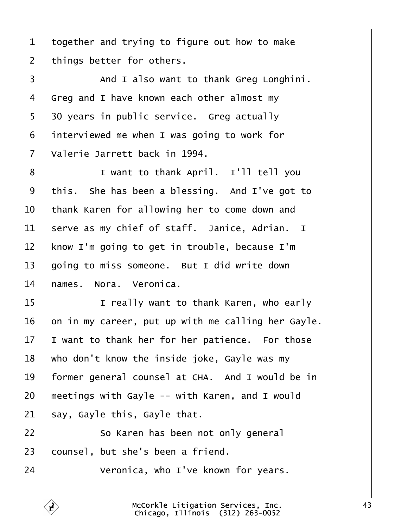<span id="page-42-0"></span>1 together and trying to figure out how to make

2 things better for others.

3 | And I also want to thank Greg Longhini. 4 Greg and I have known each other almost my 5 30 years in public service. Greg actually 6 interviewed me when I was going to work for 7 Valerie Jarrett back in 1994. 8 | I want to thank April. I'll tell you 9 this. She has been a blessing. And I've got to 10 thank Karen for allowing her to come down and 11 serve as my chief of staff. Janice, Adrian. I 12 know I'm going to get in trouble, because I'm 13 going to miss someone. But I did write down 14 hames. Nora. Veronica. 15 **I** really want to thank Karen, who early 16 on in my career, put up with me calling her Gayle. 17 I want to thank her for her patience. For those 18 who don't know the inside joke, Gayle was my 19 former general counsel at CHA. And I would be in 20 meetings with Gayle -- with Karen, and I would 21 say, Gayle this, Gayle that.  $22$   $\sim$  So Karen has been not only general 23 counsel, but she's been a friend.  $24$   $\parallel$  Veronica, who I've known for years.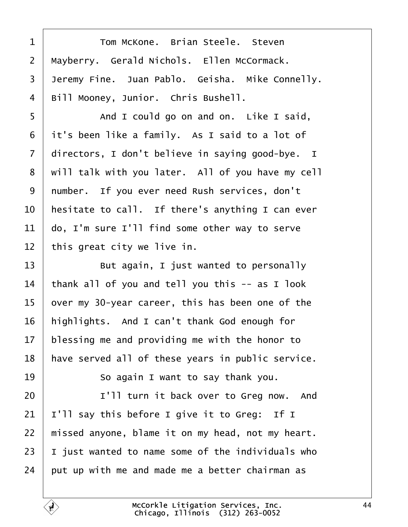<span id="page-43-0"></span>

| 1              | Tom McKone. Brian Steele. Steven                  |
|----------------|---------------------------------------------------|
| $\overline{2}$ | Mayberry. Gerald Nichols. Ellen McCormack.        |
| 3              | Jeremy Fine. Juan Pablo. Geisha. Mike Connelly.   |
| 4              | Bill Mooney, Junior. Chris Bushell.               |
| 5              | And I could go on and on. Like I said,            |
| 6              | it's been like a family. As I said to a lot of    |
| $\overline{7}$ | directors, I don't believe in saying good-bye. I  |
| 8              | will talk with you later. All of you have my cell |
| 9              | number. If you ever need Rush services, don't     |
| 10             | hesitate to call. If there's anything I can ever  |
| 11             | do, I'm sure I'll find some other way to serve    |
| 12             | this great city we live in.                       |
| 13             | But again, I just wanted to personally            |
| 14             | thank all of you and tell you this -- as I look   |
| 15             | over my 30-year career, this has been one of the  |
| 16             | highlights. And I can't thank God enough for      |
| 17             | blessing me and providing me with the honor to    |
| 18             | have served all of these years in public service. |
| 19             | So again I want to say thank you.                 |
| 20             | I'll turn it back over to Greg now. And           |
| 21             | I'll say this before I give it to Greg: If I      |
| 22             | missed anyone, blame it on my head, not my heart. |
| 23             | just wanted to name some of the individuals who   |
| 24             | put up with me and made me a better chairman as   |
|                |                                                   |

Г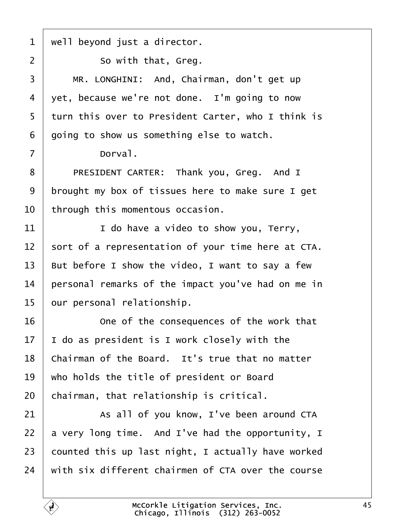<span id="page-44-0"></span>

| $\mathbf 1$    | well beyond just a director.                       |
|----------------|----------------------------------------------------|
| 2              | So with that, Greg.                                |
| 3              | MR. LONGHINI: And, Chairman, don't get up          |
| 4              | yet, because we're not done. I'm going to now      |
| 5              | turn this over to President Carter, who I think is |
| 6              | going to show us something else to watch.          |
| $\overline{7}$ | Dorval.                                            |
| 8              | PRESIDENT CARTER: Thank you, Greg. And I           |
| 9              | brought my box of tissues here to make sure I get  |
| 10             | through this momentous occasion.                   |
| 11             | I do have a video to show you, Terry,              |
| 12             | sort of a representation of your time here at CTA. |
| 13             | But before I show the video, I want to say a few   |
| 14             | personal remarks of the impact you've had on me in |
| 15             | our personal relationship.                         |
| 16             | One of the consequences of the work that           |
| 17             | do as president is I work closely with the         |
| 18             | Chairman of the Board. It's true that no matter    |
| 19             | who holds the title of president or Board          |
| 20             | chairman, that relationship is critical.           |
| 21             | As all of you know, I've been around CTA           |
| 22             | a very long time. And I've had the opportunity, I  |
| 23             | counted this up last night, I actually have worked |
| 24             | with six different chairmen of CTA over the course |
|                |                                                    |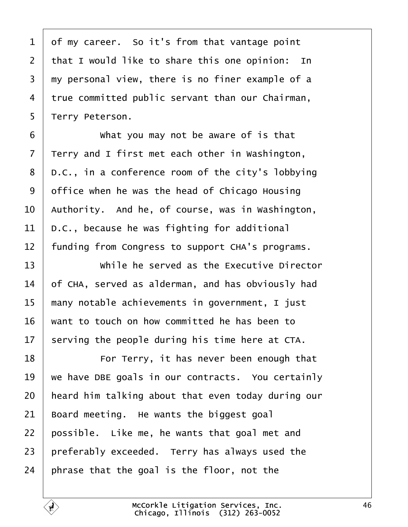<span id="page-45-0"></span>1 of my career. So it's from that vantage point 2 that I would like to share this one opinion: In 3 my personal view, there is no finer example of a 4 true committed public servant than our Chairman, 5 Terry Peterson. 6 **What you may not be aware of is that** 7 Terry and I first met each other in Washington, 8 D.C., in a conference room of the city's lobbying 9 diffice when he was the head of Chicago Housing 10 Authority. And he, of course, was in Washington, 11 D.C., because he was fighting for additional 12 funding from Congress to support CHA's programs. 13 • While he served as the Executive Director 14 of CHA, served as alderman, and has obviously had 15 many notable achievements in government, I just 16 want to touch on how committed he has been to 17 serving the people during his time here at CTA. 18 **For Terry, it has never been enough that** 19 we have DBE goals in our contracts. You certainly 20 heard him talking about that even today during our 21 Board meeting. He wants the biggest goal 22 possible. Like me, he wants that goal met and 23 preferably exceeded. Terry has always used the 24 phrase that the goal is the floor, not the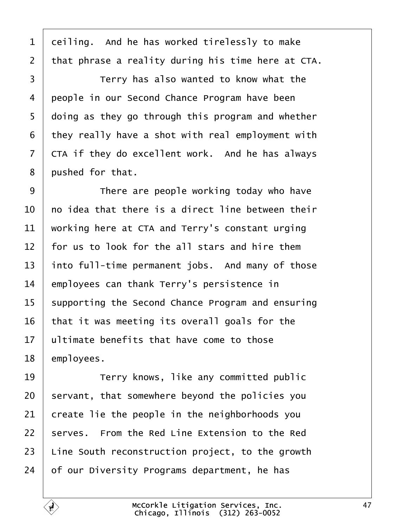<span id="page-46-0"></span>1 deiling. And he has worked tirelessly to make 2 that phrase a reality during his time here at CTA. 3 **Fig.** Terry has also wanted to know what the 4 people in our Second Chance Program have been 5 doing as they go through this program and whether ·6· ·they really have a shot with real employment with 7 CTA if they do excellent work. And he has always 8 pushed for that. 9 **I** There are people working today who have 10 ho idea that there is a direct line between their 11 working here at CTA and Terry's constant urging 12 for us to look for the all stars and hire them 13 into full-time permanent jobs. And many of those 14 employees can thank Terry's persistence in 15 supporting the Second Chance Program and ensuring 16 that it was meeting its overall goals for the 17 Ultimate benefits that have come to those 18 employees. 19 **Terry knows, like any committed public** 20 servant, that somewhere beyond the policies you 21 create lie the people in the neighborhoods you 22 serves. From the Red Line Extension to the Red 23 Line South reconstruction project, to the growth 24 bf our Diversity Programs department, he has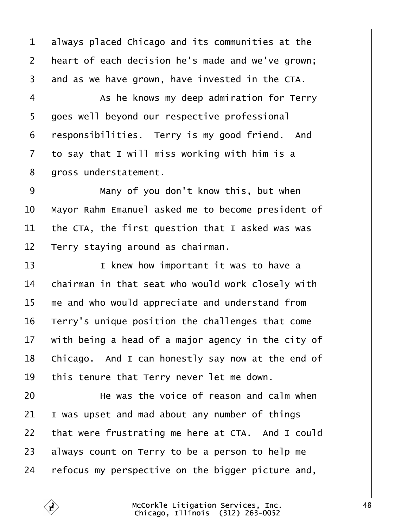<span id="page-47-0"></span>

| 1              | always placed Chicago and its communities at the   |
|----------------|----------------------------------------------------|
| $\overline{2}$ | heart of each decision he's made and we've grown;  |
| 3              | and as we have grown, have invested in the CTA.    |
| 4              | As he knows my deep admiration for Terry           |
| 5              | goes well beyond our respective professional       |
| 6              | responsibilities. Terry is my good friend. And     |
| 7              | to say that I will miss working with him is a      |
| 8              | gross understatement.                              |
| 9              | Many of you don't know this, but when              |
| 10             | Mayor Rahm Emanuel asked me to become president of |
| 11             | the CTA, the first question that I asked was was   |
| 12             | Terry staying around as chairman.                  |
| 13             | I knew how important it was to have a              |
| 14             | chairman in that seat who would work closely with  |
| 15             | me and who would appreciate and understand from    |
| 16             | Terry's unique position the challenges that come   |
| 17             | with being a head of a major agency in the city of |
| 18             | Chicago. And I can honestly say now at the end of  |
| 19             | this tenure that Terry never let me down.          |
| 20             | He was the voice of reason and calm when           |
| 21             | was upset and mad about any number of things       |
| 22             | that were frustrating me here at CTA. And I could  |
| 23             | always count on Terry to be a person to help me    |
| 24             | efocus my perspective on the bigger picture and,   |
|                |                                                    |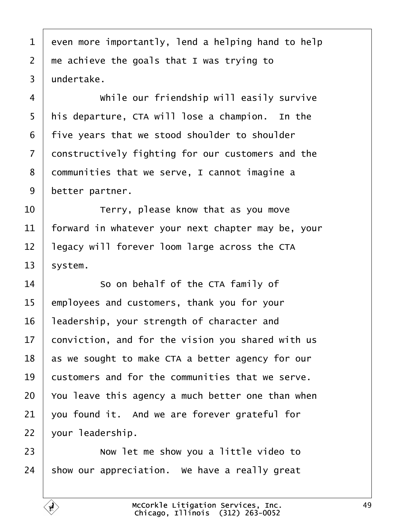<span id="page-48-0"></span>1 even more importantly, lend a helping hand to help 2 me achieve the goals that I was trying to 3 undertake. 4 | While our friendship will easily survive 5 his departure, CTA will lose a champion. In the ·6· ·five years that we stood shoulder to shoulder 7 donstructively fighting for our customers and the 8 dommunities that we serve, I cannot imagine a 9 better partner.  $10$   $\parallel$  Terry, please know that as you move 11 forward in whatever your next chapter may be, your 12 legacy will forever loom large across the CTA 13 system. 14 **So on behalf of the CTA family of** 15 employees and customers, thank you for your 16 leadership, your strength of character and 17 conviction, and for the vision you shared with us 18 as we sought to make CTA a better agency for our 19 bustomers and for the communities that we serve. 20 You leave this agency a much better one than when 21 vou found it. And we are forever grateful for  $22$  your leadership.  $23$   $\parallel$  Now let me show you a little video to 24 show our appreciation. We have a really great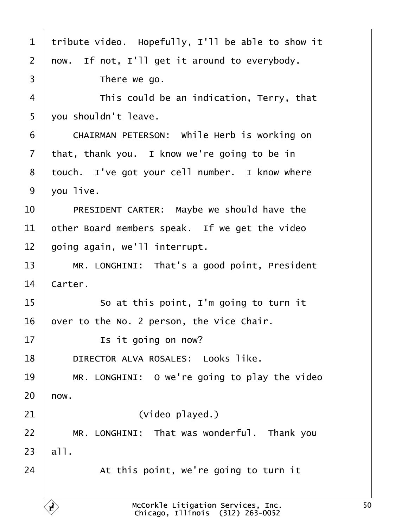<span id="page-49-0"></span>

| 1              | tribute video. Hopefully, I'll be able to show it |
|----------------|---------------------------------------------------|
| $\overline{2}$ | now. If not, I'll get it around to everybody.     |
| 3              | There we go.                                      |
| 4              | This could be an indication, Terry, that          |
| 5              | you shouldn't leave.                              |
| 6              | CHAIRMAN PETERSON: While Herb is working on       |
| 7              | that, thank you. I know we're going to be in      |
| 8              | touch. I've got your cell number. I know where    |
| 9              | you live.                                         |
| 10             | PRESIDENT CARTER: Maybe we should have the        |
| 11             | other Board members speak. If we get the video    |
| 12             | going again, we'll interrupt.                     |
| 13             | MR. LONGHINI: That's a good point, President      |
| 14             | Carter.                                           |
| 15             | So at this point, I'm going to turn it            |
| 16             | over to the No. 2 person, the Vice Chair.         |
| 17             | Is it going on now?                               |
| 18             | <b>DIRECTOR ALVA ROSALES: Looks like.</b>         |
| 19             | MR. LONGHINI: O we're going to play the video     |
| 20             | how.                                              |
| 21             | (Video played.)                                   |
| 22             | MR. LONGHINI: That was wonderful. Thank you       |
| 23             | all.                                              |
| 24             | At this point, we're going to turn it             |
|                |                                                   |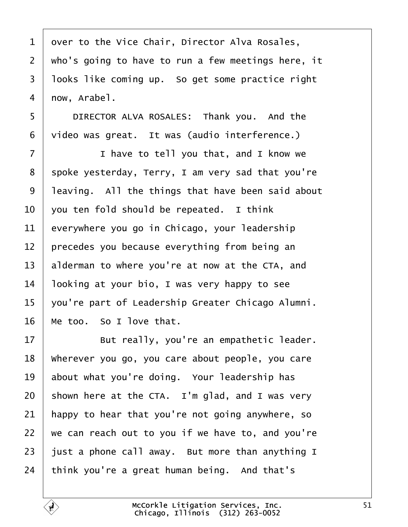<span id="page-50-0"></span>

| 1              | over to the Vice Chair, Director Alva Rosales,     |
|----------------|----------------------------------------------------|
| $\overline{2}$ | who's going to have to run a few meetings here, it |
| 3              | Iboks like coming up. So get some practice right   |
| 4              | now, Arabel.                                       |
| 5              | DIRECTOR ALVA ROSALES: Thank you. And the          |
| 6              | video was great. It was (audio interference.)      |
| 7              | I have to tell you that, and I know we             |
| 8              | spoke yesterday, Terry, I am very sad that you're  |
| 9              | leaving. All the things that have been said about  |
| 10             | you ten fold should be repeated. I think           |
| 11             | everywhere you go in Chicago, your leadership      |
| 12             | precedes you because everything from being an      |
| 13             | alderman to where you're at now at the CTA, and    |
| 14             | looking at your bio, I was very happy to see       |
| 15             | you're part of Leadership Greater Chicago Alumni.  |
| 16             | Me too. So I love that.                            |
| 17             | But really, you're an empathetic leader.           |
| 18             | Wherever you go, you care about people, you care   |
| 19             | about what you're doing. Your leadership has       |
| 20             | shown here at the CTA. I'm glad, and I was very    |
| 21             | happy to hear that you're not going anywhere, so   |
| 22             | we can reach out to you if we have to, and you're  |
| 23             | just a phone call away. But more than anything I   |
| 24             | think you're a great human being. And that's       |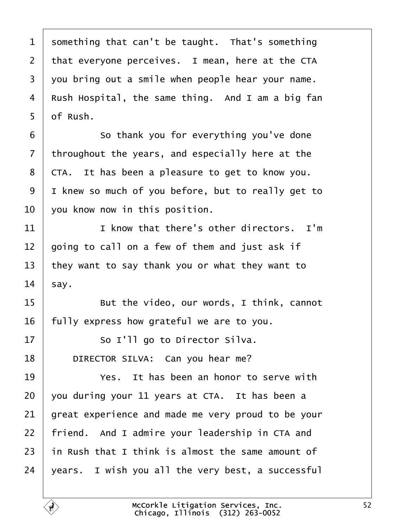<span id="page-51-0"></span>

| 1  | something that can't be taught. That's something   |
|----|----------------------------------------------------|
| 2  | that everyone perceives. I mean, here at the CTA   |
| 3  | you bring out a smile when people hear your name.  |
| 4  | Rush Hospital, the same thing. And I am a big fan  |
| 5  | df Rush.                                           |
| 6  | So thank you for everything you've done            |
| 7  | throughout the years, and especially here at the   |
| 8  | CTA. It has been a pleasure to get to know you.    |
| 9  | I knew so much of you before, but to really get to |
| 10 | you know now in this position.                     |
| 11 | I know that there's other directors. I'm           |
| 12 | going to call on a few of them and just ask if     |
| 13 | they want to say thank you or what they want to    |
| 14 | \$ay.                                              |
| 15 | But the video, our words, I think, cannot          |
| 16 | fully express how grateful we are to you.          |
| 17 | So I'll go to Director Silva.                      |
| 18 | DIRECTOR SILVA: Can you hear me?                   |
| 19 | Yes. It has been an honor to serve with            |
| 20 | you during your 11 years at CTA. It has been a     |
| 21 | great experience and made me very proud to be your |
| 22 | friend. And I admire your leadership in CTA and    |
| 23 | in Rush that I think is almost the same amount of  |
| 24 | years. I wish you all the very best, a successful  |
|    |                                                    |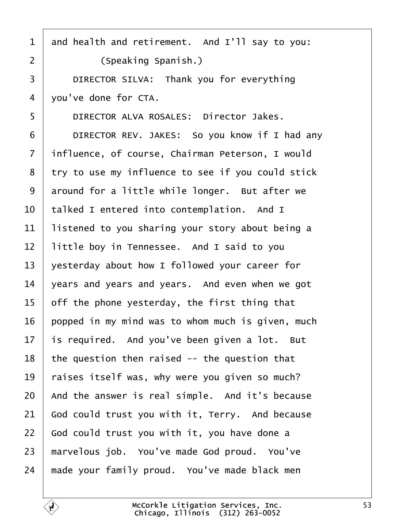<span id="page-52-0"></span>

| $\mathbf 1$    | and health and retirement. And I'll say to you:   |
|----------------|---------------------------------------------------|
| $\overline{2}$ | (Speaking Spanish.)                               |
| 3              | DIRECTOR SILVA: Thank you for everything          |
| 4              | you've done for CTA.                              |
| 5              | DIRECTOR ALVA ROSALES: Director Jakes.            |
| 6              | DIRECTOR REV. JAKES: So you know if I had any     |
| $\overline{7}$ | influence, of course, Chairman Peterson, I would  |
| 8              | try to use my influence to see if you could stick |
| 9              | around for a little while longer. But after we    |
| 10             | talked I entered into contemplation. And I        |
| 11             | listened to you sharing your story about being a  |
| 12             | little boy in Tennessee. And I said to you        |
| 13             | yesterday about how I followed your career for    |
| 14             | years and years and years. And even when we got   |
| 15             | off the phone yesterday, the first thing that     |
| 16             | popped in my mind was to whom much is given, much |
| 17             | is required. And you've been given a lot. But     |
| 18             | the question then raised -- the question that     |
| 19             | raises itself was, why were you given so much?    |
| 20             | And the answer is real simple. And it's because   |
| 21             | God could trust you with it, Terry. And because   |
| 22             | God could trust you with it, you have done a      |
| 23             | marvelous job. You've made God proud. You've      |
| 24             | made your family proud. You've made black men     |
|                |                                                   |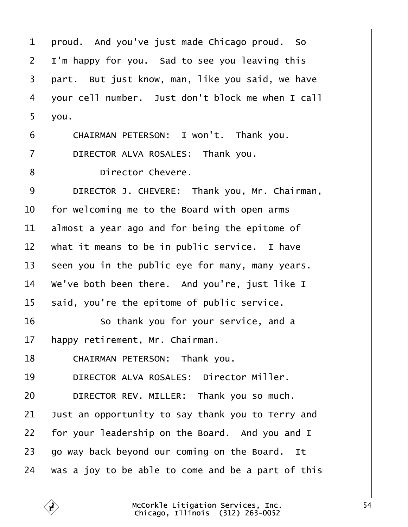<span id="page-53-0"></span>

| 1              | proud. And you've just made Chicago proud. So      |
|----------------|----------------------------------------------------|
| $\overline{2}$ | I'm happy for you. Sad to see you leaving this     |
| 3              | part. But just know, man, like you said, we have   |
| 4              | your cell number. Just don't block me when I call  |
| 5              | you.                                               |
| 6              | CHAIRMAN PETERSON: I won't. Thank you.             |
| 7              | DIRECTOR ALVA ROSALES: Thank you.                  |
| 8              | Director Chevere.                                  |
| 9              | DIRECTOR J. CHEVERE: Thank you, Mr. Chairman,      |
| 10             | for welcoming me to the Board with open arms       |
| 11             | almost a year ago and for being the epitome of     |
| 12             | what it means to be in public service. I have      |
| 13             | seen you in the public eye for many, many years.   |
| 14             | We've both been there. And you're, just like I     |
| 15             | said, you're the epitome of public service.        |
| 16             | So thank you for your service, and a               |
| 17             | happy retirement, Mr. Chairman.                    |
| 18             | CHAIRMAN PETERSON: Thank you.                      |
| 19             | <b>DIRECTOR ALVA ROSALES: Director Miller.</b>     |
| 20             | DIRECTOR REV. MILLER: Thank you so much.           |
| 21             | Just an opportunity to say thank you to Terry and  |
| 22             | for your leadership on the Board. And you and I    |
| 23             | go way back beyond our coming on the Board. It     |
| 24             | was a joy to be able to come and be a part of this |
|                |                                                    |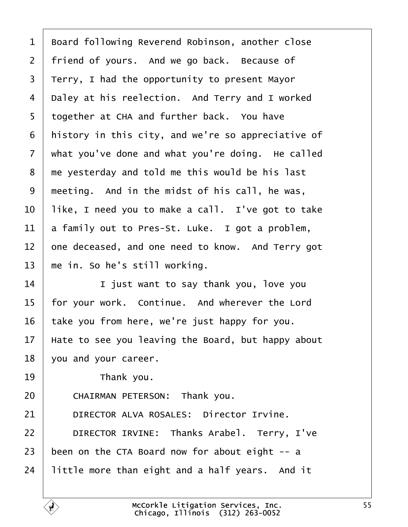<span id="page-54-0"></span>

| 1              | Board following Reverend Robinson, another close   |
|----------------|----------------------------------------------------|
| $\overline{2}$ | friend of yours. And we go back. Because of        |
| 3              | Terry, I had the opportunity to present Mayor      |
| 4              | Daley at his reelection. And Terry and I worked    |
| 5              | together at CHA and further back. You have         |
| 6              | history in this city, and we're so appreciative of |
| 7              | what you've done and what you're doing. He called  |
| 8              | the yesterday and told me this would be his last   |
| 9              | meeting. And in the midst of his call, he was,     |
| 10             | like, I need you to make a call. I've got to take  |
| 11             | a family out to Pres-St. Luke. I got a problem,    |
| 12             | one deceased, and one need to know. And Terry got  |
| 13             | me in. So he's still working.                      |
| 14             | I just want to say thank you, love you             |
| 15             | for your work. Continue. And wherever the Lord     |
| 16             | take you from here, we're just happy for you.      |
| 17             | Hate to see you leaving the Board, but happy about |
| 18             | you and your career.                               |
| 19             | Thank you.                                         |
| 20             | CHAIRMAN PETERSON: Thank you.                      |
| 21             | <b>DIRECTOR ALVA ROSALES: Director Irvine.</b>     |
| 22             | DIRECTOR IRVINE: Thanks Arabel. Terry, I've        |
| 23             | been on the CTA Board now for about eight -- a     |
| 24             | little more than eight and a half years. And it    |
|                |                                                    |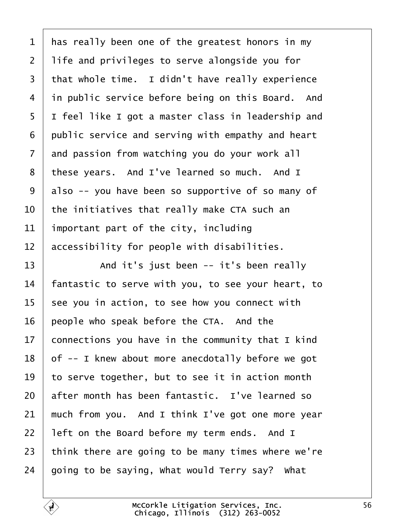<span id="page-55-0"></span>

| 1  | has really been one of the greatest honors in my   |
|----|----------------------------------------------------|
| 2  | life and privileges to serve alongside you for     |
| 3  | that whole time. I didn't have really experience   |
| 4  | in public service before being on this Board. And  |
| 5  | I feel like I got a master class in leadership and |
| 6  | public service and serving with empathy and heart  |
| 7  | and passion from watching you do your work all     |
| 8  | these years. And I've learned so much. And I       |
| 9  | also -- you have been so supportive of so many of  |
| 10 | the initiatives that really make CTA such an       |
| 11 | important part of the city, including              |
| 12 | accessibility for people with disabilities.        |
| 13 | And it's just been -- it's been really             |
| 14 | antastic to serve with you, to see your heart, to  |
| 15 | see you in action, to see how you connect with     |
| 16 | people who speak before the CTA. And the           |
| 17 | connections you have in the community that I kind  |
| 18 | of -- I knew about more anecdotally before we got  |
| 19 | to serve together, but to see it in action month   |
| 20 | after month has been fantastic. I've learned so    |
| 21 | much from you. And I think I've got one more year  |
| 22 | left on the Board before my term ends. And I       |
| 23 | think there are going to be many times where we're |
| 24 | going to be saying, What would Terry say? What     |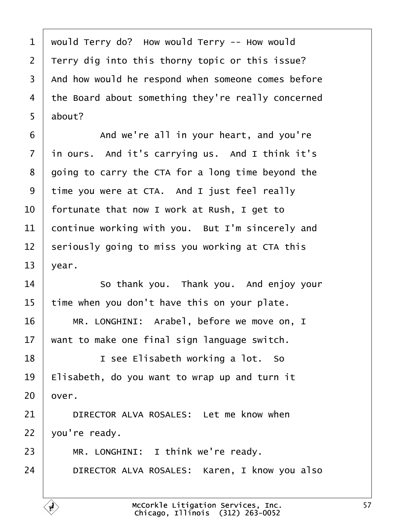<span id="page-56-0"></span>

| 1              | would Terry do? How would Terry -- How would       |
|----------------|----------------------------------------------------|
| 2              | Terry dig into this thorny topic or this issue?    |
| 3              | And how would he respond when someone comes before |
| 4              | the Board about something they're really concerned |
| 5              | about?                                             |
| 6              | And we're all in your heart, and you're            |
| $\overline{7}$ | in ours. And it's carrying us. And I think it's    |
| 8              | going to carry the CTA for a long time beyond the  |
| 9              | time you were at CTA. And I just feel really       |
| 10             | fortunate that now I work at Rush, I get to        |
| 11             | continue working with you. But I'm sincerely and   |
| 12             | seriously going to miss you working at CTA this    |
| 13             | year.                                              |
| 14             | So thank you. Thank you. And enjoy your            |
| 15             | time when you don't have this on your plate.       |
| 16             | MR. LONGHINI: Arabel, before we move on, I         |
| 17             | want to make one final sign language switch.       |
| 18             | I see Elisabeth working a lot. So                  |
| 19             | Elisabeth, do you want to wrap up and turn it      |
| 20             | bver.                                              |
| 21             | DIRECTOR ALVA ROSALES: Let me know when            |
| 22             | you're ready.                                      |
| 23             | MR. LONGHINI: I think we're ready.                 |
| 24             | DIRECTOR ALVA ROSALES: Karen, I know you also      |
|                |                                                    |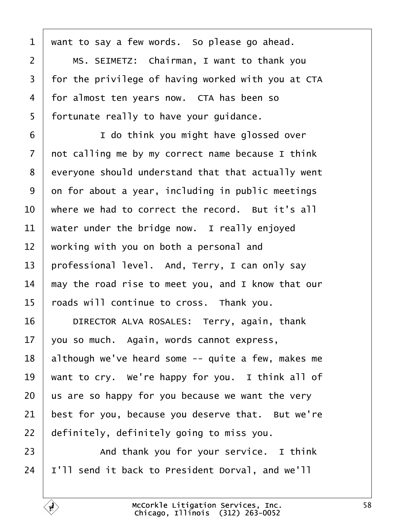<span id="page-57-0"></span>

| 1               | want to say a few words. So please go ahead.       |
|-----------------|----------------------------------------------------|
| $\overline{2}$  | MS. SEIMETZ: Chairman, I want to thank you         |
| 3               | for the privilege of having worked with you at CTA |
| 4               | for almost ten years now. CTA has been so          |
| 5               | fortunate really to have your guidance.            |
| 6               | I do think you might have glossed over             |
| $\overline{7}$  | not calling me by my correct name because I think  |
| 8               | everyone should understand that that actually went |
| 9               | on for about a year, including in public meetings  |
| 10              | where we had to correct the record. But it's all   |
| 11              | water under the bridge now. I really enjoyed       |
| 12              | working with you on both a personal and            |
| 13              | professional level. And, Terry, I can only say     |
| 14              | may the road rise to meet you, and I know that our |
| 15              | toads will continue to cross. Thank you.           |
| 16              | DIRECTOR ALVA ROSALES: Terry, again, thank         |
| 17 <sub>1</sub> | you so much. Again, words cannot express,          |
| 18              | although we've heard some -- quite a few, makes me |
| 19              | want to cry. We're happy for you. I think all of   |
| 20              | us are so happy for you because we want the very   |
| 21              | best for you, because you deserve that. But we're  |
| 22              | definitely, definitely going to miss you.          |
| 23              | And thank you for your service. I think            |
| 24              | I'll send it back to President Dorval, and we'll   |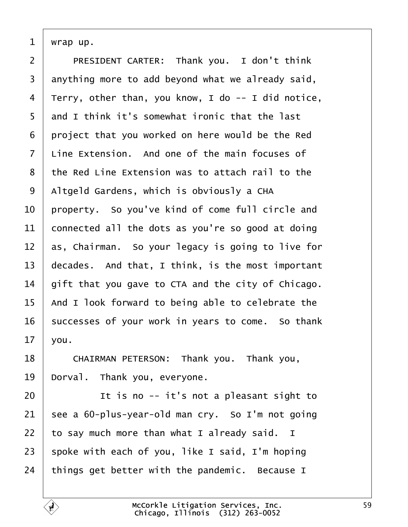<span id="page-58-0"></span>1  $\psi$ rap up.

| $\overline{2}$ | PRESIDENT CARTER: Thank you. I don't think         |
|----------------|----------------------------------------------------|
| 3              | anything more to add beyond what we already said,  |
| 4              | Terry, other than, you know, I do -- I did notice, |
| 5              | and I think it's somewhat ironic that the last     |
| 6              | project that you worked on here would be the Red   |
| 7              | Line Extension. And one of the main focuses of     |
| 8              | the Red Line Extension was to attach rail to the   |
| 9              | Altgeld Gardens, which is obviously a CHA          |
| 10             | property. So you've kind of come full circle and   |
| 11             | connected all the dots as you're so good at doing  |
| 12             | as, Chairman. So your legacy is going to live for  |
| 13             | decades. And that, I think, is the most important  |
| 14             | gift that you gave to CTA and the city of Chicago. |
| 15             | And I look forward to being able to celebrate the  |
| 16             | successes of your work in years to come. So thank  |
| 17             | you.                                               |
| 18             | CHAIRMAN PETERSON: Thank you. Thank you,           |
| 19             | Dorval. Thank you, everyone.                       |
| 20             | It is no -- it's not a pleasant sight to           |
| 21             | see a 60-plus-year-old man cry. So I'm not going   |
| 22             | to say much more than what I already said. I       |
| 23             | spoke with each of you, like I said, I'm hoping    |

24 things get better with the pandemic. Because I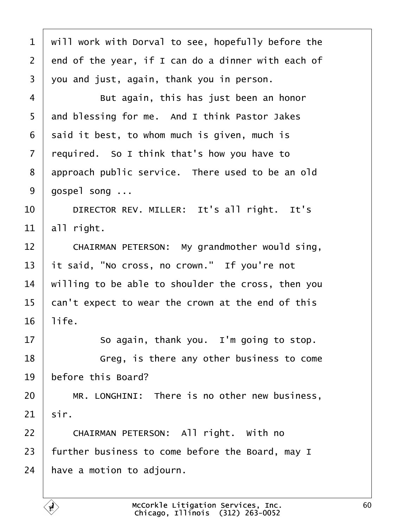<span id="page-59-0"></span>

| 1              | will work with Dorval to see, hopefully before the |
|----------------|----------------------------------------------------|
| 2              | end of the year, if I can do a dinner with each of |
| 3              | you and just, again, thank you in person.          |
| 4              | But again, this has just been an honor             |
| 5              | and blessing for me. And I think Pastor Jakes      |
| 6              | said it best, to whom much is given, much is       |
| $\overline{7}$ | required. So I think that's how you have to        |
| 8              | approach public service. There used to be an old   |
| 9              | gospel song                                        |
| 10             | DIRECTOR REV. MILLER: It's all right. It's         |
| 11             | all right.                                         |
| 12             | CHAIRMAN PETERSON: My grandmother would sing,      |
| 13             | it said, "No cross, no crown." If you're not       |
| 14             | willing to be able to shoulder the cross, then you |
| 15             | can't expect to wear the crown at the end of this  |
| 16             | life.                                              |
| 17             | So again, thank you. I'm going to stop.            |
| 18             | Greg, is there any other business to come          |
| 19             | before this Board?                                 |
| 20             | MR. LONGHINI: There is no other new business,      |
| 21             | sir.                                               |
| 22             | CHAIRMAN PETERSON: All right. With no              |
| 23             | further business to come before the Board, may I   |
| 24             | have a motion to adjourn.                          |
|                |                                                    |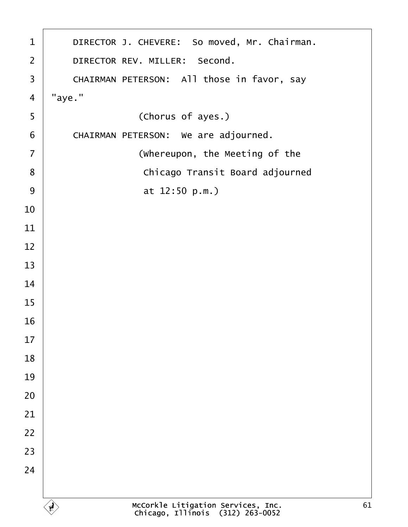<span id="page-60-0"></span>

| $\mathbf 1$    | DIRECTOR J. CHEVERE: So moved, Mr. Chairman. |
|----------------|----------------------------------------------|
| $\overline{2}$ | DIRECTOR REV. MILLER: Second.                |
| $\mathfrak{S}$ | CHAIRMAN PETERSON: All those in favor, say   |
| $\overline{4}$ | "aye."                                       |
| $\sqrt{5}$     | (Chorus of ayes.)                            |
| $\,6\,$        | CHAIRMAN PETERSON: We are adjourned.         |
| $\overline{7}$ | (Whereupon, the Meeting of the               |
| 8              | Chicago Transit Board adjourned              |
| 9              | at 12:50 p.m.)                               |
| 10             |                                              |
| 11             |                                              |
| 12             |                                              |
| 13             |                                              |
| 14             |                                              |
| 15             |                                              |
| 16             |                                              |
| 17             |                                              |
| 18             |                                              |
| 19             |                                              |
| 20             |                                              |
| 21             |                                              |
| 22             |                                              |
| 23             |                                              |
| 24             |                                              |
|                |                                              |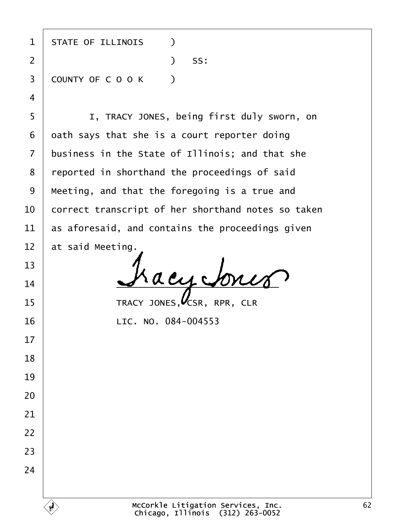| $\mathbf 1$    | <b>STATE OF ILLINOIS</b><br>$\lambda$              |
|----------------|----------------------------------------------------|
| $\overline{2}$ | SS:<br>$\mathcal{L}$                               |
| 3              | <b>COUNTY OF COOK</b><br>$\rightarrow$             |
| $\overline{4}$ |                                                    |
| 5              | I, TRACY JONES, being first duly sworn, on         |
| 6              | dath says that she is a court reporter doing       |
| $\overline{7}$ | business in the State of Illinois; and that she    |
| 8              | reported in shorthand the proceedings of said      |
| 9              | Meeting, and that the foregoing is a true and      |
| 10             | correct transcript of her shorthand notes so taken |
| 11             | as aforesaid, and contains the proceedings given   |
| 12             | at said Meeting.                                   |
| 13             |                                                    |
| 14             |                                                    |
| 15             | TRACY JONES, CSR, RPR, CLR                         |
| 16             | LIC. NO. 084-004553                                |
| 17             |                                                    |
| 18             |                                                    |
| 19             |                                                    |
| 20             |                                                    |
| 21             |                                                    |
| 22             |                                                    |
| 23             |                                                    |
| 24             |                                                    |
|                |                                                    |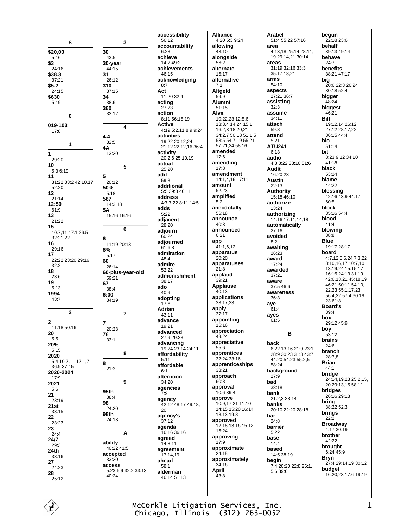McCorkle Litigation Services, Inc. Chicago, Illinois (312) 263-0052

\$ \$20,00 30  $5:16$ **30-year**<br>44:15 \$3  $24:16$ \$38.3  $31$  $37.21$  $$5.2$ 310  $24:15$ \$630 34  $5.19$ 360  $\mathbf{0}$ 019-103  $17.8$  $4.4$  $\overline{1}$ **4A** 1  $29.20$  $10$  $5:36:19$ 5  $11$ 31:22 33:2 42:10.17 52:20 50%  $12$  $21:14$ 567 12:50 **5A**  $61.9$ 13  $21:22$ 15 10:7.11 17:1 26:5 32:21.22  $\bf 6$ 16  $29.16$  $6%$ 17 22:22 23:20 29:16 60  $32:2$ 18 60-plus-year-old  $23.6$ 19 67  $5.13$ 1994  $6:00$  $43.7$  $\overline{2}$  $\overline{2}$  $\overline{7}$  $11.1850.16$ 20 76  $5:5$ 20%  $5.15$ 2020 5:4 10:7.11 17:1 7  $\mathbf{a}$  $36.937.15$ 2020-2024  $17:9$ 2021  $5.6$ 95th  $21$ 23:19 98  $21st$  $33:15$ 98th  $22$ 23:23 23  $24:4$ 24/7 ability  $29.3$  $24th$ accepted 33:16 27 access 24:23 28  $25.12$ 

3

 $43:5$ 

 $26:12$ 

 $37:15$ 

 $38:6$ 

 $32.12$ 

 $32:5$ 

 $13.20$ 

 $20.12$ 

 $5:18$ 

 $14:318$ 

15:16 16:16

11:19 20:13

 $5:17$ 

26:14

59:21

 $38.4$ 

 $34:19$ 

20:23

 $33:1$ 

 $21:3$ 

 $38:4$ 

 $24:20$ 

24:13

40:22 41:5

 $33.20$ 

40:24

 $\overline{7}$ 

8

 $\overline{9}$ 

 $\Delta$ 

5:23 6:9 32:2 33:13

6

 $\blacktriangle$ 

5

accessibility 56:12 accountability  $6.23$ achieve  $14.749.2$ achievements 46:15 acknowledging  $8.7$ Act 11:20 32:4 acting  $27:23$ action 8:11 56:15,19 **Active** 4:19 5:2.11 8:9 9:24 activities 19:22 20:12.24 21:12 22:12,16 36:4 activity 20:2,6 25:10,19 actual  $25:20$ add  $59.3$ additional 5:5 39:8 46:11 address 4:7 7:22 8:11 14:5 adde  $5.22$ adjacent  $28:20$ adiourn  $60.24$ adjourned  $61:6.8$ admiration  $48.4$ admire  $52:22$ admonishment  $38.17$ ado  $40.9$ adopting  $17:6$ Adrian  $43:11$ advance  $19.21$ advanced 27:9 29:23 advancing 19:24 23:14 24:11 affordability  $5:11$ affordable  $6:1$ afternoon  $34.20$ agencies  $7:9$ agency  $42:12$  48:17 49:18. 20 agency's  $37:12$ agenda 16:16 36:16 agreed 14:8,11 agreement 17:14,19 ahead  $58:1$ alderman 46:14.51:13

**Alliance** 4:20 5:3 9:24 allowing  $43.10$ alongside  $56.2$ alternate 15:17 alternative  $7.1$ Altgeld  $59:9$ **Alumni**  $51:15$ Alva 10:22,23 12:5,6 13:3.4 14:24 15:1 16:2.3 18:20.21 34:2,7 50:18 51:1,5 53:5 54:7,19 55:21 57:21,24 58:16 amended  $17.6$ amending  $17.8$ amendment 14:1,4,16 17:11 amount  $52.23$ amplified  $5:2$ anecdotally 56:18 announce  $40.3$ announced  $6:21$ app 41:1.6.12 apparatus  $20:20$ apparatuses  $21:8$ applaud  $39.21$ **Applause**  $40:13$ applications  $33.17.23$ apply  $37:17$ appointing 15:16 appreciation 49:24 appreciative  $55:6$ apprentices 32:24 33:16 apprenticeships  $33:21$ approach  $60.8$ approval  $10.6394$ approve 10:9,17,21 11:10 14:15 15:20 16:14 18:13 19:8 approved 12:18 13:16 15:12 16:24 approving  $17:9$ approximate  $24:15$ approximately 24:16 April  $43:8$ 

Arabel 51:4 55:22 57:16 area 4:13 18 25:14 28:11 19 29:14.21 30:14 areas  $31.19.32.16.33.3$ 35:17,18,21 arms  $54.10$ aspects 27:21 36:7 assisting  $32:3$ assume  $34:11$ attach  $59.8$ attend  $5:21$ **ATU241**  $6.13$ audio 4:8 8:22 33:16 51:6 Audit 16:20.23 **Austin** 22:13 **Authority** 15:18 46:10 authorize  $13:24$ authorizing 14:16 17:11, 14, 18 automatically  $27:16$ avoided  $8.2$ awaiting 26:23 award  $17.24$ awarded  $37.21$ aware 37:5 46:6 awareness  $36.3$ ave  $61:4$ ayes 61:5 B back 6:22 13:16 21:9 23:1 28:9 30:23 31:3 43:7 44:20 54:23 55:2,5 58.24 background  $27:9$ bad  $38.18$ bank 21:2,3 28:14 banks 20:10 22:20 28:18 har  $24.8$ barrier  $5:22$ base  $14.4$ based 14:5 38:19 begin 7:4 20:20 22:8 26:1,  $56396$ 

begun 22:18 23:6 behalf 39:13 49:14 hehave  $24.7$ benefits 38:21 47:17 big  $20.622.326.24$ 30:18 52:4 bigger 48:24 biggest  $46.21$ **Bill**  $10.1211250$ 27:12 28:17.22 36:15 44:4 bio  $51.14$ bit 8:23.9:12.34:10  $41:18$ black 53:24 blame 44:22 blessing 42:16 43:9 44:17  $60:5$ block 35:16 54:4 blood  $41:4$ blowing 38:8 **Blue** 19:17 28:17 hoard 4:7,12 5:6,24 7:3,22 8:10,16,17 10:7,10 13:19,24 15:15,17 16:15 24:13 31:19 42:6,13,21 45:18,19 46:21 50:11 54:10, 22,23 55:1,17,23 56:4,22 57:4 60:19, 23 61:8 **Board's**  $39.4$ box 29:12 45:9 bov  $53:12$ hraine  $24.6$ branch 28:7.8 **Brian**  $44.1$ bridge 24:14, 19, 23 25: 2, 15, 20 29:13,15 58:11 bridaes  $26.1629.18$  $\begin{array}{c}\n\mathbf{bring} \\
38:22\,52:3\n\end{array}$ brings  $22:2$ **Broadway**  $4.1730.19$ brother 42:22 brought  $6:24$  45:9 **Bryn** 27:4 29:14,19 30:12 budget 16:20,23 17:6 19:19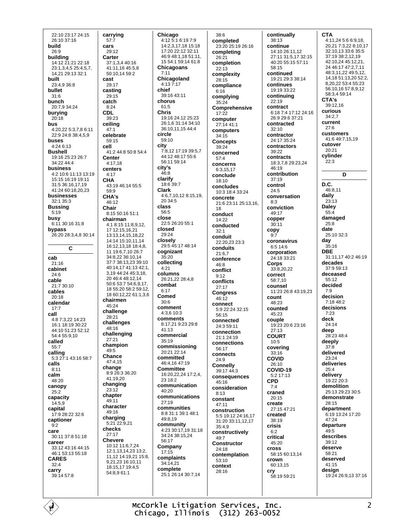22:10 23:17 24:15 26:10 37:16 build  $26.9$ building 14:12 21:21 22:18 23:1,3,4,5 25:4,5,7, 14,21 29:13 32:1 **built** 23:4,9 36:8 bullet  $31:6$ bunch 20:7,9 34:24 burying  $20:18$ hus 4:20.22 5:3.7.8 6:11 22:9 24:8 38:4,5,9 buses  $4.24613$ **Bushell** 19:16 25:23 26:7 34:22 44:4 business 4:2 10:6 11:13 13:19 15:15 16:19 19:11 31:5 36:16,17,19 41:24 60:18,20,23 businesses  $32.135.3$ **Bussing**  $5:19$ busy 6:11 30:16 31:8 bypass 26:20 28:3,4,8 30:14  $\overline{C}$ cab  $21:16$ cabinet  $24.6$ cable 21:7 30:10 cables  $20:18$ calendar  $17 - 7$ call 4:8 7:3,22 14:23 16:1 18:19 30:22 44:10 51:23 52:12  $54.455.910$ called  $55.7$ calling 5:3 27:1 43:16 58:7 calls  $8:11$ calm 48:20 canopy  $25:2$ capacity  $14:59$ capital 17:9 28:22 32:6 captioner  $9:2$ care 30:11 37:8 51:18 career 33:12 43:16 44:15 46:1 53:13 55:18 **CARES**  $32 - 4$ carry 39:14 57:8

carrying  $57:7$ cars  $29.12$ Carter 37:1,3,4 40:16 41:11 16 45:5 8 50:10,14 59:2 cast 29:17 casting 29:15 catch  $8:24$ **CDL**  $39:23$ ceiling  $47.1$ celebrate 59:15 cell 41:2 44:8 50:8 54:4 **Center**  $4:17,18$ centers  $4.17$ CHA 43:19 46:14 55:5  $50.0$ CHA's 46:12 Chair  $8:15.50:16.51:1$ chairman 4:1 8:15 11:8,9,12, 17 12:15,16,21 13:13,14,15,18,22 14:14 15:10,11,14 16:12.13.18 18:4.8. 11 19:6.7.10 26:7 34:8,22 36:10,14 37:7 38:13.23 39:10 40:14 17 41:13 42:1 3.19 44:24 45:3.18. 20 46:4 48:12 14 50:6 53:7 54:6.9.17. 18 55:20 58:2 59:12. 18 60:12,22 61:1,3,6 chairmen 45:24 challenge 28:21 challenges 48:16 challenging  $27:21$ champion  $49.5$ Chance 47:4,15 change  $8:926:336:20$ 41:19.20 changing  $23:12$ chapter 49:11 character  $49.16$ charging 5:21 22:9,21 checks  $27.17$ **Chevere** 10:12 11:6,7,24 12:1,13,14,23 13:2, 11,12 14:19,21 15:8, 9,21,23 16:10,11 18:15,17 19:4,5 54:8,9 61:1

Chicago 4:12 5:1 6:19 7:9 14:2,3,17,18 15:18 17:20 22:12 32:11 46:9 48:1,18 51:11, 15 54:1 59:14 61:8 Chicagoans  $7:11$ Chicagoland  $4:13\ \frac{8}{7}:17$ chief  $39.1643.11$ chorus  $61:5$ **Chris** 19:16 24:12 25:23 26:1 6:31:14:34:10 36:10,11,15 44:4 circle  $59:10$ city 7:8,12 17:19 39:5,7 44:12 48:17 55:6 56:11 59:14 city's  $46.8$ clarify 18:6 39:7 Clark 4:6,7,10,12 8:15,19, 20 34:5 class  $56.5$ close 22:5 26:20 55:1 closed  $29.24$ closely 29:5 45:17 48:14 cognizant  $35:20$ collecting  $4.21$ columns 26:21,22 28:4,8 combat  $6:17$ Comed  $30.6$ comment  $4:3.610:3$ comments 8:17,21 9:23 29:8  $41.13$ commercial  $35:19$ commissioning  $20.2122.14$ committed 46:4.16 47:19 **Committee** 16:20,22,24 17:2,4, 23 18:2 communication  $40.20$ communications  $27:19$ communities 8:8.31:1.39:1.48:1  $49.819$ community 4:23 30:17,19 31:18 34:24 38:15,24 56:17 Company  $17:15$ complaints 34:14,21 complete 25:1 26:14 30:7.14

 $38.6$ completed 23:20 25:19 26:16 completing  $26.21$ completion  $22:13$ complexity  $28.15$ compliance  $6:16$ complying 35:24 **Comprehensive**  $17.22$ computer 27:14 41:1 computers  $34.15$ **Concepts**  $39.24$ concerned  $57:4$ concerns 6:3 15 17 conclude 18:10 concludes 10:3 18:4 33:24 concrete 21:6 23:11 25:13,16,  $1<sub>R</sub>$ conduct 14:22 conducted  $32.1$ conduit 22:20,23 23:3 conduits  $21:6.7$ conference 46:8 conflict  $9:12$ conflicts  $27.17$ **Congress** 46:12 connect 5:9 22:24 32:15  $56:15$ connected  $24.359.11$ connection 21:1 24:19 connections  $56.17$ connects  $24:9$ **Connelly** 39:17 44:3 consequences  $45.16$ consideration  $8:13$ constant  $47:11$ construction 5:5 19:12 24:16,17 31:20 33:11,12,17  $35:4.9$ constructively  $49.7$ **Constructor**  $24.18$ contemplation 53:10 context  $28.16$ 

continually  $38:13$ continue 14:10 26:11 12 27:11 31:5.17 32:15  $40:20$  55:15 57:11  $58.15$ continued 19:21 29:3 38:14 continues 19:19 33:22 continuing  $22.19$ contract 6:18 7:4 17:12 24:16 26:9 29:6 37:21 contracted  $32.10$ contractor 24:17 35:24 contractors  $39.22$ contracts 18:3,7,8 29:23,24  $16.10$ contribution  $37:19$ control  $24.5$ conversation  $8:3$ conviction 49:17 copper  $30:11$ copy coronavirus  $6:514:6$ corporation 24:18 33:21 Corps 33:8,20,22 correct  $58.710$ counsel 11:23 26:8 43:19,23 count  $48.23$ counted 45:23 couple 19:23 20:6 23:16  $27:13$ **COURT**  $10.5$ covering 33:16 **COVID**  $26:10$ COVID-19 5:2 17:13 **CPD**  $7.4$ craned  $20.15$ create 27:15 47:21 created 38:19 crisis  $6.2$ critical 45:20 **cross** 58:15 60:13.14 crown 60:13,15 cry 58:19 59:21

**CTA** 4:11,24 5:6 6:9,18, 20.21 7:3.22 8:10.17 32:10,13 33:6 35:5 37:19 38:2,12,19 42:10,24 45:12,21, 24 46:17 47:2,7,11 48:3 11 22 49:5 12 14.18 51:13,20 52:2, 8 20 22 53:4 55:23 56:10.16 57:8.9.12 58:34 59:14 CTA's 39:12,16 curious  $34.27$ current  $27.6$ customers 41:6 49:7,15,19 cutover  $20.21$ cylinder  $22:3$ D D.C.  $46.811$ daily  $23:13$ **Daley**  $55:4$ damaged  $25:8$ date 25:10 32:3  $\frac{day}{35:16}$ **DBE** 31:11 17 40:2 46:19 decades 37:9 59:13 deceased 55:12 decided  $7.9$ decision  $7.1848.2$ decisions  $7.23$ deck  $24:14$ deep 28:23 48:4 deeply  $37:8$ delivered 23:24 deliveries  $25:4$ delivery  $19.22.20.3$ demolition 25:13 29:23 30:5 demonstrate  $28.15$ department 6:19 13:24 17:20  $47.24$ departure  $49.5$ describes  $30.12$ deserve 58:21 deserved  $41.15$ design 19:24 26:9,13 37:16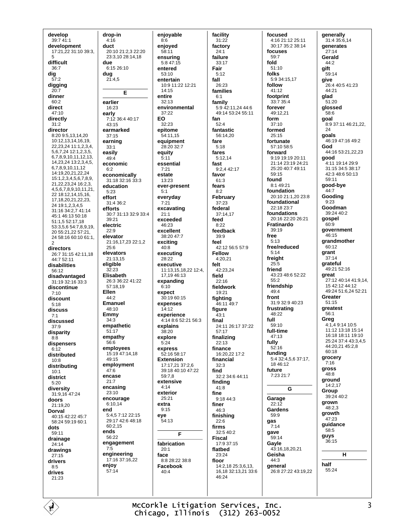develop 39:7 41:1 development 17:21,22 31:10 39:3. 5 difficult 36:7  $\frac{dig}{57:2}$ digging  $20.7$ dinner  $60:2$ direct  $47.10$ directly  $31.2$ director 8:20 9:5,13,14,20 10:12.13.14.16.19. 22, 23, 24 11: 1, 2, 3, 4, 5, 6, 7, 24 12: 1, 2, 3, 5, 678910111213 14,23,24 13:2,3,4,5, 6789101112 14:19 20 21 22 24 15:1,2,3,4,5,6,7,8,9, 21,22,23,24 16:2,3, 4.5.6.7.8.9.10.11.21. 22 18:12,14,15,16, 17, 18, 20, 21, 22, 23, 24 19:1,2,3,4,5 31:16 34:2,7 41:14 45:1 46:13 50:18 51:1.5 52:17.18 53:3,5,6 54:7,8,9,19, 20 55:21,22 57:21, 24 58:16 60:10 61:1, 2 directors 26:7 31:15 42:11,18  $AA - 752 - 11$ disabilities 56:12 disadvantaged  $31.1932.16333$ discontinue  $7:10$ discount  $5:18$ discuss 7:1 discussed  $37:9$ disparity  $8:8$ dispensers  $6:12$ distributed  $10:8$ distributina  $10.1$ district  $5:20$ diversitv 31:9.16 47:24 doors 21:19,20 **Dorval** 40:15 42:22 45:7 58:24 59:19 60:1 dots  $59.11$ drainage 24:14 drawings  $27:15$ drivers  $8:5$ drives  $21.23$ 

drop-in  $4:16$ duct 20:10 21:2.3 22:20 23:3.10 28:14.18 due 6:15 26:10  $\begin{array}{c}\n\text{dug} \\
21:4.5\n\end{array}$ Е earlier 16:23 early 7:12 36:4 40:17 43:15 earmarked  $37:15$ earning  $33:1$ easily  $49:4$ economic  $6.2$ economically 31:18 32:16 33:3 education  $5:23$ effort  $31.4.36.2$ efforts 30:7 31:13 32:9 33:4 39:21 electric  $22.9$ elevator 21:16,17,23 22:1,2  $25.6$ elevators 21:13.15 eligible  $32.23$ Elisabeth 26:3 36:22 41:22 57:18.19 Ellen  $44.2$ **Emanuel** 48:10 Emmy  $34:3$ empathetic  $51:17$ empathy  $56.6$ employees  $15.1947.1418$  $49.15$ employment  $47:6$ encase  $21:7$ encasing 23:10 encourage 6:10.14 end 5:4,5 7:12 22:15  $29:1742:648:18$  $60.215$ ends 56:22 engagement  $7:5$ engineering 17:16 37:16,22 enjoy  $57.14$ 

enjovable  $8:6$ enioved  $58.11$ ensurina  $5:847:15$ entered 53:10 entertain 10:9 11:22 12:21  $14.15$ entire  $32:13$ environmental  $37.22$ EO  $32.23$ epitome 54:11,15 equipment  $28.20.32.7$ equity  $5:11$ essential  $7:21$ estate 13:23 ever-present  $5:1$ everydav  $7:21$ excavating  $21:1$ exceeded 46:23 excellent  $38:20$  47 $\cdot$ 7 exciting  $40:8$ executing  $28.22$ executive 11:13,15,18,22 12:4, 17.19 46:13 expanding  $6:10$ expect  $30.1960.15$ expenses  $14:12$ experience 4:14 8:6 52:21 56:3 explains  $38:20$ explore  $5.24$ express  $52.1658.17$ **Fxtension** 17:17,21 37:2,6 39:18 40:10 47:22  $59.78$ extensive  $4.14$ exterior  $25:21$ extra  $9.15$ eve 54:13 Е fabrication  $20.1$ face  $8:828:2238:8$ Facebook  $40.4$ 

facility  $31:22$ factory  $24.1$ failure  $33.17$ Fair  $5:12$ fall  $26:23$ families  $6:1$ family 5:9 42:11,24 44:6 49:14 53:24 55:11 fan  $52.4$ fantastic 56:14,20 fare  $5.18$ fares  $5:12,14$ fast  $9.2442.17$ favor 61:3 fears  $8:2$ February  $37:23$ federal 37:14.17 feed  $8:22$ feedback  $39.9$ feel 42:12 56:5 57:9 **Fellow**  $4.2021$ felt 42:23,24 field  $22.16$ fieldwork 19:21 fighting 46:11 49:7 figure  $43:1$ final 24:11.26:17.37:22  $57:17$ finalizing  $22.13$ finance  $16.202217.2$ financial  $32.3$ find 32:2 34:6 44:11 finding  $41.8$ fine 9:18 44:3 finer  $46.3$ finishing  $22:6$ firms 32:5 40:2 **Fiscal** 17:9 37:15 flatbed 23:24 floor 14:2,18 25:3,6,13. 16, 18 32: 13, 21 33: 6  $46.24$ 

focused 4:16 21:12 25:11 30:17 35:2 38:14 focuses  $59.7$ fold  $51:10$ folks 5:9 34:15.17 follow  $41.12$ footprint 33:7 35:4 forever 49.12.21 form  $37.10$ formed  $25.15$ fortunate  $57.1058.5$ forward 9:19 19:19 20:11 21:14 23:19 24:21 25:20 40:7 49:11 59:15 found 8:1 49:21 foundation 20:10 21:1,20 23:8 foundational 22:18 23:7 foundations 20:16 22:20 26:21 Fratinardo  $39:19$ free  $5.13$ free/reduced  $5.14$ freight  $25:5$ friend  $43:23$  48:6 52:22  $55.2$ friendship  $49:4$ front 31:9 32:9 40:23 frustrating 48:22 full  $59.10$ full-time  $47:13$ fully  $52:16$ funding 5:4 32:4,5,6 37:17, 18 46:12 future 7:23 21:7 G Garage  $22:12$ **Gardens**  $59.9$ gas  $7:14$ gave 59:14 Gavle  $43.16$  18 20 21 Geisha  $44.3$ general 26:8 27:22 43:19.22

qenerally 31:4 35:6,14 **generates**  $27.14$ Gerald  $44.2$ gift 59:14 give 26:4 40:5 41:23  $44.21$ glad 51:20 glossed 58.6 goal  $8:9$  37:11 46:21.22. 24 goals 46:19 47:16 49:2 God 44:16 53:21.22.23 good 4:11 19:14 29:9 31:15 34:5 38:17 42:3 48:6 50:13  $59.11$ good-bye  $44.7$ Gooding  $9:23$ Goodman 39:24 40:2 gospel  $60.9$ government 46:15 grandmother  $60:12$ grant  $37.14$ grateful 49:21 52:16 great 27:12 40:14 41:9,14, 15 42 12 44 12 49:24 51:6.24 52:21 Greater  $51.15$ greatest  $56:1$ Greg 4:1,4 9:14 10:5 11:12 13:18 15:14 16:18 18:11 19:10 25:24 37:4 43:3,4,5 44:20,21 45:2,8 60:18 grocery  $7.16$ gross 48:8 ground 14:2.17 Group 39:24 40:2 grown 48:2.3 growth  $47.23$ guidance 58:5 guys  $36:15$ н half  $55.24$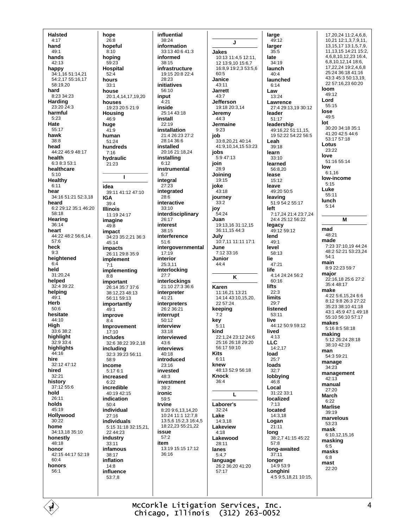**Halsted**  $4:17$ hand  $49.1$ hands  $42.13$ happy 34:1,16 51:14,21 54:2,17 55:16,17 58:19,20 hard 8:23 34:23 Harding 23:20 24:3 harmful  $5:23$ Hate 55:17 hawk  $38:8$ head 44.22 46.9 48.17 health 6:3 8:3 53:1 healthcare  $5:10$ Healthy  $6:11$ hear 34:16 51:21 52:3,18 heard 6:2 29:12 35:1 46:20  $58.18$ Hearing 36:14 heart 44:22 48:2 56:6.14  $57.6$ heck  $Q \cdot Q$ heightened  $6:4$ held  $31.2024$ helped 32:4 39:22 helping  $49.1$ Herb  $50.6$ hesitate 44:10 High  $33.638.2$ highlight 2:9 33:4 highlights 44:16 hire  $32.12$   $47.12$ hired  $32.21$ history 37:12 55:6 hold 26:11 holds 45:19 Hollywood  $30:22$ home 34:13,18 35:10 honestly 48:18 honor 42:15 44:17 52:19  $60.4$ honors  $56.1$ 

hope  $26:8$ hopeful  $8:10$ hopina  $59.23$ **Hospital** 52:4 hours  $33.1$ house 20:1,4,14,17,19,20 houses 19:23 20:5 21:9 **Housing** 46:9 huae  $41:9$ human 51:24 hundreds  $7:16$ hydraulic 21:23 J. idea 39:11 41:12 47:10 **IGA**  $39.4$ **Illinois** 11:19 24:17 imagine  $49-8$ impact 34:23 35:2,21 36:3 45:14 impacts 26:11.29:8.35:9 implement implementing  $8:8$ important 26:14 35:7 37:6 38:12.23 48:13 56:11 59:13 importantly  $49:1$ improve  $8.4$ Improvement  $17.10$ includes 32:6 38:22 39:2.18 **including**<br>32:3 39:23 56:11  $58.9$ income 5:17 6:1 increased  $6.22$ incredible 40:19 42:15 indication  $50:4$ individual  $27.16$ individuals 5:15 31:18 32:15,21, 22 44:23 industry  $33.11$ infamous 38:17 inflation 14:8 influence 53:7,8

influential information  $33.1340.641.3$ **Jakes** 10:13 11:4,5 12:11, 12 13:9,10 15:6,7 infrastructure 16:8,9 19:2,3 53:5,6 19:15 20:8 22:4  $60:5$ Janice initiatives  $43:11$ Jarrett.  $43.7$ Jefferson 19:18 20:3,14 25:14 43:18 Jeremy  $44.3$ Jermaine **installation**  $9:23$ 21:4 26:23 27:2 job 28:14 36:6 33:8.20.21 40:14 41:9 10 14 15 53:23  $20.1621.1824$ jobs 5:9 47:13 join instrumental  $28:9$ Joining  $19.15$ joke integrated 43:18 journey interactive  $33:2$ joy interdisciplinary 54:24 Juan 19:13.16 31:12.15 36:11, 15 44:3 interference July  $10:7.11$  11:11 17:1 intergovernmental June 7:12 33:16 Junior  $44:4$ interlocking interlockings 21:10 27:3 36:6 Karen interpreter 11:16.21 13:21 14:14 43:10.15.20. interpreters  $22.57.24$ 26:2 36:21 keeping  $7:2$ kev  $5:11$ kind interviewed 22:1,24 23:12 24:6 25:16 26:18 29:20 56:17 59:10 **interviews Kits** introduced  $6:11$ knew 48:13.52:9.56:18 **Knock** investment 36:4 Laborer's 8:20 9:6.13.14.20  $32.24$  $10:24$  11:1 12:7 8 Lake 13:5,6 15:2,3 16:4,5  $14:318$ 18.22.23 55:21.22 Lakeview  $4:18$ Lakewood  $28.11$ 13:19 15:15 17:12 lanes  $5:4,7$ language 26:2 36:20 41:20  $57.17$ 

K

L

38:24

informed

 $38.15$ 

 $28.23$ 

 $56.10$ 

input

 $4:21$ 

inside

install

 $22.10$ 

installed

installing

 $6:12$ 

 $5.7$ 

integral

27:23

 $28.6$ 

 $33:10$ 

26:17

interest

38:15

 $51.6$ 

 $17:15$ 

interior

 $27:7$ 

 $41.21$ 

interrupt

interview

 $50:12$ 

 $33:18$ 

 $43.6$ 

 $40.18$ 

 $23.16$ 

48:3

 $30.2$ 

ironic

 $59:5$ 

**Irvine** 

issue

 $57:2$ 

 $36.16$ 

item

invested

 $25:311$ 

J

large  $49:12$ larger  $35.5$ late  $34.19$ launch 40:4 launched  $6.14$ Law 13:24 Lawrence 27:4 29:13,19 30:12 leader 51:17 leadership 49:16,22 51:11,15, 19 52:22 54:22 56:5 Leah  $39.18$ learn 33:10 learned 56:8.20 lease 15:12 leave 49:20 50:5 leaving 51:9 54:2 55:17 left 7:17.24 21:4 23:7.24 24:4 25:12 56:22 **legacy**<br> $49:1259:12$ lend  $49.1$ level 58:13 lie  $47.21$ life  $4.142424562$  $60.16$ **lifts**  $22:3$ limits  $29.7$ listened 53:11 live 44:12 50:9 59:12 lived  $4:13$ **LLC** 14:2,17 load  $25.7$ loads  $32:7$ lobbying 46:8 Local 31:22 33:1 localized  $7:13$ located 14:3.18 Logan  $21:11$ lona 38:2.7 41:15 45:22  $57:8$ long-awaited  $37:11$ longer 14:9 53:9 I onahini 4:5 9:5.18.21 10:15.

17.20.24 11:2.4.6.8. 10,21 12:1,3,7,9,11, 13, 15, 17 13: 1, 5, 7, 9, 11, 13, 15 14: 21 15: 2, 4, 6, 8, 10, 12, 23 16: 4, 6,8,10,12,14 18:6, 17,22,24 19:2,4,6,8 25:24 36:18 41:16 43:3 45:3 50:13,19, 22.57:16.23.60:20 loom 49:12 Lord  $55.15$ lose  $49.5$ lot 30:20 34:18 35:1 41:20 42:5 44:6 53:17 57:18 Lotus  $23.22$ love 51:16 55:14 low  $6:1,16$ low-income  $5.15$ Luke 55:11 lunch  $5:14$ M mad 48:21 made 7:23 37:10,19 44:24 48:2 52:21 53:23,24  $54:1$ main  $8:922:2359:7$ major 22:16,18 25:6 27:2 35:4 48:17 make  $4.2256152466$ 8.12 9.8 26:3 27:22  $35.23.38.10.41.18$ 43:1 45:9 47:1 49:18 55:10 56:10 57:17 makes 5:16 8:5 58:18 making  $5:1226:2428:18$  $38:1042:19$ man  $54:359.21$ manage 34:23 management  $42.13$ manual 27:20 March  $6.22$ **Marlise**  $39:19$ marvelous  $53.23$ mask 6:10,12,15,16 masking  $6:5$ masks  $6:8$ mast  $22.20$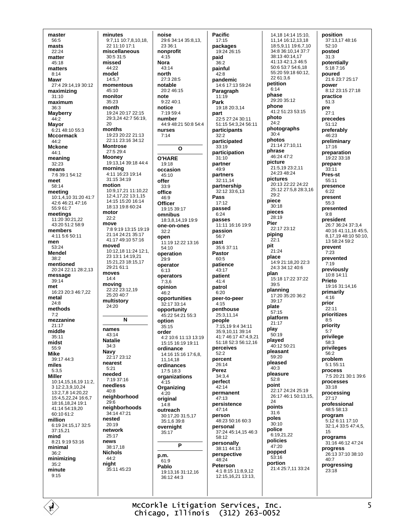master  $56:5$ masts  $22.24$ matter  $45.18$ matters  $8:14$ **Mawr** 27:4 29:14 19 30:12 maximizing  $31:10$ maximum 36:3 **Mayberry**  $44:2$ Mayor 6:21 48:10 55:3 **Mccormack** 44:2 **Mckone**  $44:1$ meaning  $32:23$ means 7.6.39.1.54.12 meet 58:14 meeting 10:1.4.10 31:20 41:7 42:6 46:21 47:16 55:9 61:7 meetings 11:20 30:21,22 43:20 51:2 58:9 members 4:11 5:6 50:11 men 53:24 **Mendel**  $38.2$ mentioned 20:24 22:11 28:2.13 message 39:14 met 16:23 20:3 46:7,22 metal  $24.8$ methods  $7:2$ mezzanine  $21.17$ middle 35:11 midst 55:9 **Mike**  $39.17443$ miles  $5:3.5$ **Miller** 10:14,15,16,19 11:2,  $31223391024$ 13:2.7.8 14:20.22 15:4 5 22 24 16:6 7 18:16 18 24 19:1  $41.1454.1920$  $60.1061.2$ million 6:19 24:15,17 32:5  $37.15.21$ mind 8:21.9:19.53:16 minimal  $36:2$ minimizing  $35:2$ minute  $9.15$ 

minutes 9:7,11 10:7,8,10,18, 22 11:10 17:1 miscellaneous 30:5 31:5 missed 44:22 model  $14.57$ momentous  $45.10$ monitor  $35:23$ month 19:24 20:17 22:15 29:3,24 42:7 56:19.  $20$ months 19:23 20:22 21:13 22:11 23:16 34:12 **Montrose** 27:5 29:4 **Mooney** 19:13,14 39:18 44:4 morning 4:11 16:23 19:14 31:15 34:19 motion 10:9 17 21 11:10 22 12:4 17 22 13:1 15 14:15 15:20 16:14 18:13 19:8 60:24 motor  $22:2$ move 7:8 9:19 13:15 19:19 21:14 24:21 35:17 41:17 49:10 57:16 moved 10:12,18 11:24 12:1, 23 13:1 14:19,21 15:21.23 18:15.17  $29.2161.1$ moves  $14.4$ moving 22:22 23:12,19 25:20 40:7 multistory  $24.20$ N names  $43.14$ **Natalie**  $34.3$ **Navy** 22:17 23:12 nearest  $5:21$ needed  $7.19.37.16$ needless  $40.8$ neighborhood  $29:6$ neighborhoods 34:14 47:21 nested  $20.19$ network  $25:17$ news  $38.1718$ **Nichols** 44:2 night 35:11 45:23

noise

23 36:1

nonprofit

 $4:15$ 

 $43.14$ 

notable

27:3 28:5

 $20.246.15$ 

9:22 40:1

 $7.19.594$ 

 $\Omega$ 

number

nurses

 $7:14$ 

O'HARF

occasion

 $19.18$ 

45:10

offer

 $33.9$ 

office

 $46.9$ 

Officer

 $32.2$ 

 $54.10$ 

 $29.9$ 

 $6:13$ 

 $7:3.6$ 

opinion

 $46.2$ 

option

35:15

ordinance

11.14.18

17:5 18:3

 $4.15$ 

 $4.20$ 

original

outreach

overnight

P

35:17

p.m.

 $61.9$ 

Pablo

36:12 44:3

 $14:8$ 

order

operation

operator

operators

open

omnibus

north

note

notice

**Nora** 

**Pacific** 29:6 34:14 35:8,13,  $17:15$ packages  $19.24.26.15$ paid  $36.2$ painful 42:8 pandemic Paragraph  $11:19$ Park 19:18 20:3,14 part 44:9 48:21 50:8 54:4 participants  $32.2$ participated  $33.19$ participation  $31:10$ partner  $49.9$ partners 32:11,14 partnership 32:12 33:6,13 Pass  $17:12$ passed 19:15 39:17  $6:24$ 18:3,8,14,19 19:9 passes one-on-ones passion  $56.7$ .<br>11:19 12:22 13:16 past 35:6 37:11 Pastor  $60.5$ patience 43:17 patient  $41.4$ patrol  $6:20$ opportunities peer-to-peer 32:17 33:14  $4:15$ penthouse opportunity 45:22 54:21 55:3 25:3.11.14 people 4:2 10:6 11:13 13:19 15:15 16:19 19:11 perceives 14:16 15:16 17:6 8  $52:2$ percent  $26.14$ ordinances Perez organizations  $34.34$ perfect  $42.14$ Organizing permanent 47:13 persistence  $47.14$ 30:17,20 31:5.17 person 35:1.6 39:8 personal 58:12 personally 38:11 44:13 perspective  $48.24$ Peterson 19:13,16 31:12.16

14 6 17 13 59 24 22:5 27:24 30:11 51:15 54:3 24 56:11 piece Pier 11:11 16:16 19:9 pit place plan plate 7:15.19 9:4 34:11 nlav 35:9,10,11 39:14 41:7 46:17 47:4,9,21 51:18 52:3 56:12,16 point  $24$ poles 48:23 50:16 60:3 37:24 45:14,15 46:3 4:1 8:15 11:8,9,12 12:15,16,21 13:13,

14.18 14:14 15:10. 11,14 16:12,13,18 18:5.9.11 19:6.7.10 34:8 36:10,14 37:7 38:13 40:14,17 41:13 42:1,3 46:5 50:6 53:7 54:6,18 55:20 59:18 60:12 22 61:3.6 petition  $6:14$ phase 29:20 35:12 nhone 41:2.51:23.53:15 photo  $24:2$ photographs  $30.4$ photos  $21.1427.1011$ phrase 46:24 47:2 picture 21:5.19 23:2.11  $24.2348.24$ pictures 20:13 22:22 24:22 25:12 27:5,8 28:3,16 29:2  $30:18$ pieces  $28.19$ 22:17 23:12 nipina  $22.1$  $21:24$ 14:9 21:18.20 22:3 24:3.34:12.40:6 15:18 17:22 37:22  $39.5$ planning 17:20 35:20 36:2  $39.17$  $57.15$ platform  $21:17$  $50:19$ plaved 40:12 50:21 pleasant 59:20 nleased  $40.3$ pleasure  $52:8$ 22:17 24:24 25:19 26:17 46:1 50:13 15 points  $31:6$  $30:10$ police  $6.192122$ policies 47:20 popped  $53.16$ portion 21:4 25:7,11 33:24

position 37:13,17 48:16 52:10 posted  $31:3$ potentially 5:18 7:16 poured 21:6 23:7 25:17 power  $8.1223.1527.18$ practice  $51:3$ pre  $27.1$ precedes  $51:12$ preferably 46:23 preliminary  $17.16$ preparation 19:22 33:18 prepare  $33.11$ Pres-st  $55.11$ presence  $6:22$ present  $55:3$ presented  $Q \cdot R$ president 26:7 36:24 37:3,4 40:16 41:11,16 45:5, 8.17.19 48:10 50:10  $13.58.24.59.2$ prevent  $7.23$ prevented  $7:19$ previously  $10.81411$ Prieto 19:16 31:14,16 primarily  $4:16$ prior  $22.11$ prioritizes  $8:5$ priority  $5.7$ privilege 58:3 privileges  $56:2$ problem  $5.155.11$ process 7:5 20:21 30:1 39:6 processes  $33.18$ processing  $27:17$ professional  $48:5.58:13$ program 5:12 6:11 17:10 32:1,4 33:5 47:4,5,  $15$ programs 31:16 46:12 47:24 progress 26:13 37:10 38:10  $40.7$ progressing  $23:18$ 

McCorkle Litigation Services, Inc. Chicago, Illinois (312) 263-0052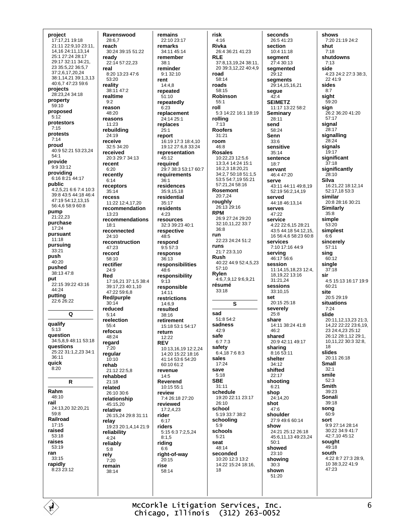project 17:17,21 19:18 21:11 22:9.10 23:11. 14, 16 24: 11, 13, 14 25:1 27:24 28:17 29:17 32:11 34:21, 23 35:5,22 36:5,7  $37.26172024$ 38:1,14,21 39:1,3,13  $40.6747.23596$ projects 28:23,24 34:18 property  $59.10$ proposed  $5:12$ protestors  $7:15$ protests  $7.14$ proud 40:9 52:21 53:23 24  $54.1$ provide 9:9 33:12 providing  $6.168.2144.17$ public 4:2,5,21 6:6 7:4 10:3 39:8 43:5 44:18 46:4 47:19 54:12 13 15 56:4,6 58:9 60:8 pump  $21.22.23$ purchase 17:24 pursuant  $11:18$ pursuing 33:21 push 40:20 pushed 38:13 47:8 put 22:15 39:22 43:16 44:24 **putting<br>22:6 26:22**  $\Omega$ qualify  $5.13$ question 34:5,8,9 48:11 53:18 questions 25:22 31:1,2,23 34:1  $36.11$ quick  $8:20$  $\mathsf{R}$ Rahm 48:10 rail 24:13.20 32:20.21  $59.8$ Railroad  $17:15$ raised 53:18 raises 53:19 ran  $33:15$ rapidly 8:23 23:12

Ravenswood 28:6.7 reach 30:24 39:15 51:22 ready  $22.1457.2223$ real 8:20 13:23 47:6  $53.20$ reality  $38.1147.2$ realtime  $Q \cdot 2$ reason  $48.20$ reasons  $11.23$ rebuildina 24:19 receive  $32:5.34.20$ received 20:3 29:7 34:13 recent  $6:20$ recently  $6:14$ receptors  $35:14$ recess 11:22 12:4.17.20 recommendation  $13.23$ recommendations  $18:1$ reconnected  $24:10$ reconstruction 47:23 record  $58:10$ rectifier 24:9 Red  $17:16.2137:1.538:4$ 39:17,23 40:1,10 47:22 59:6.8 Red/purple  $30.14$ reduced  $5:14$ reelection  $55.4$ refocus 48:24 regard  $7:20$ regular  $10.10$ rehab 21:12 22:5,8 rehabbed  $21:18$ related  $26.10306$ relationship 45:15.20 relative 26:15.24 29:8 31:11 relay 19:23 20:1,4,14 21:9 reliability  $4.24$ reliably  $5.8$ rely  $7:20$ remain  $38.14$ 

remains 22:10 23:17 remarks  $34.1145.14$ remember reminder 9:1 32:10  $14.48$ repeated  $51:10$ repeatedly replacement 24:14 25:1 replaces report 16:19 17:3 18:4,10 19:12 27:6 8 33:24 representation 45:12 required 29:7 38:3 53:17 60:7 requirements residences 35:9.15.18 residential rosidonts resources 32:3 39:23 40:1 respective respond  $9:557:3$ response  $36.13$ responsibilities responsibilitv responsible  $14:11$ restrictions 14:6.9 resulted  $38:16$ retirement 15:18 53:1 54:17 return 10:13 16 19 12:2 24  $14.2015.2218.16$  $41.1453654.20$  $60.1061.2$ revenue Reverend  $10:15.55:1$ review 7:4 26:18 27:20 reviewed 17:2,4,23 riders 5:15 6:3 7:2,5,24 riding right-of-way  $20:15$ 58.14

 $38.1$ 

rent

 $6:23$ 

 $25:1$ 

 $36:1$ 

 $35:17$ 

 $4.23$ 

 $48.5$ 

48:6

 $9:13$ 

 $12:22$ 

 $14.5$ 

rider

 $6.17$ 

 $8:1.5$ 

 $6:6$ 

rise

**REV** 

risk  $4:16$ Rivka 26:4 36:21 41:23 **RIF** 37:8.13.19.24 38:11. 20 39:3,12,22 40:4,9 road  $58.14$ roads  $58.15$ Robinson  $55:1$ roll 5:3 14:22 16:1 18:19 rolling  $7.13$ **Roofers** 31:21 room  $46.8$ **Rosales** 10:22,23 12:5,6 13:3,4 14:24 15:1 16:2,3 18:20,21 34:2.7 50:18 51:1.5 53:5 54:7,19 55:21 57:21,24 58:16 **Rosemont**  $20.724$ roughly 26:13 29:16 **RPM** 26:9 27:24 29:20 32:10 11 22 33:7  $36:8$ run 22.23.24.24.51.2 runs 21:7 23:3,10 Rush 40.22 44:9 52:4 5 23  $57.10$ Rylen 4:6,7,9,12 9:6,9,21 résumé  $33:18$  $\mathbf{s}$ sad  $51.854.2$ sadness  $42:9$ safe  $6.77.3$ safety  $6:4,187:68:3$ sales 17:24 save  $5.18$ **SBE**  $31:11$ schedule 19:20 22:11 23:17  $26:10$ school 5:19 33:7 38:2 schooling  $5:9$ schools  $5:21$ seat 48:14 seconded 10:20 12:3 13:2 14:22 15:24 18:16 18

seconds 26:5 41:23 section  $10.41118$ seament 27:4 30:13 segmented  $29:12$ seaments 29:14.15.16.21 segue  $42:4$ **SEIMETZ** 11:17 13:22 58:2 **Seminary** 28:11 send 58:24 Senn  $33:6$ sensitive  $35.14$ sentence  $18:7$ servant  $46.447.20$ serve 43:11 44:11 49:8,19 52:19 56:2,14,19 served 44:18 46:13.14 corves 47:22 service 4:22 22:6,15 28:21 43:5 44:18 54:12,15, 16 56:4.6 58:23 60:8 services 7:10 17:16 44:9 serving  $46.17.56.6$ session 11:14,15,18,23 12:4, 18 19 22 13:16  $31.21$  24 sessions 33:10.15 set 20:15 25:18 severely  $25:8$ share 14:11 38:24 41:8  $46.2$ shared 20:9 42:11 49:17 sharing 8:16 53:11 shelter  $34:12$ shifted  $22:17$ shooting  $6.21$ shop  $24.1420$ shot  $47.6$ shoulder 27:9 49:6 60:14 show 24:21 25:12 26:18 45:6,11,13 49:23,24  $50:1$ showed 23:10 showina  $30:3$ shown 51:20

shows 7:20 21:19 24:2 shut  $7.18$ shutdowns  $7.13$ side 4:23 24:2 27:3 38:3,  $2241.9$ sides  $R \cdot 7$ sight  $59:20$ sign 26:2 36:20 41:20  $57:17$ sianal 28:17 signalling 28:24 signals  $19.17$ significant  $37:18$ significantly  $28.10$ Silva 16:21,22 18:12,14 52:17.18 53:3 similar 20:8 28:16 30:21 **Similarly**  $35.8$ simple 53:20 simplest  $6:6$ sincerely 57:11 sing  $60:12$ single  $37:18$ sir 4:5 15:13 16:17 19:9 60:21 site 20:5 29:19 situations  $7.24$ slide 20:11,12,13,23 21:3, 14,22 22:22 23:6,19, 23 24:4,23 25:12 26:12 28:1.12 29:1. 10,11,22 30:3 32:8,  $18$ slides 20:11 26:18 **Small**  $32.1$ smile  $52.3$ **Smith** 39:23 Sonali  $39:18$ song  $60:9$ sort 9:9 27:14 28:14 30:22 34:9 41:7 42:7,10 45:12 sought  $49.18$ south 4:22 8:7 27:3 28:9, 10 38:3,22 41:9 47:23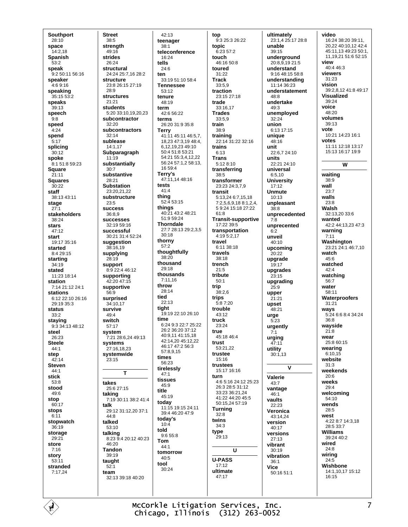**Southport**  $28:10$ space  $14.218$ Spanish  $53.2$ speak 9:2 50:11 56:16 speaker  $4.69.16$ speaking  $35:1553:2$ speaks  $39:13$ speech  $9:8$ speed  $4:24$ spend  $5:17$ splicing 30:12 spoke 8:1 51:8 59:23 Square  $21.11$ **Squares**  $30:22$ staff 38:13 43:11 stage  $27.1$ stakeholders 38:24 stars  $47.12$ start 19:17 35:16 started 8:4 29:15 starting 34:19 stated 11:23 18:14 station  $7.142112241$ stations 6:12 22:10 26:16 29:19 35:3 status  $33:2$ staying 9:3 34:13 48:12 steel 26:23 **Steele**  $44.1$ step  $42.14$ **Steven**  $44:1$ stick  $53.8$ stood 49:6 stop  $60:17$ stops  $6:11$ stopwatch  $36.19$ storage  $29.21$ store  $7:16$ story  $53.11$ stranded 7:17.24

**Street**  $38:5$ strenath  $49.16$ strides  $26.24$ structural 24:24 25:7,16 28:2 structure 23:8 26:15 27:19  $28.9$ structures  $21:21$ students 5:20 33:10.19.20.23 subcontractor  $32.20$ subcontractors  $32:14$ sublease  $14.117$ Subparagraph  $11:19$ substantially  $30.7$ substantive  $28.21$ **Substation** 23:20.21.22 substructure  $23:5$ **SUCCASS** 36:8.9 successes 32:19 59:16 successful 30:21 31:4 52:24 suggestion  $38:16,19$ supplying  $28.19$ support 8:9 22:4 46:12 supporting 42:20 47:15 supportive 56:9 surprised 34:10.17 survive  $49:4$ switch 57:17 system 7:21 28:6,24 49:13 systems  $27.16$  18 23 systemwide 23:15  $\mathbf{T}$ takes 25:6 27:15 taking 7:19 30:11 38:2 41:4 talk 29:12 31:12,20 37:1  $44.8$ talked  $53:10$ talking<br>8:23 9:4 20:12 40:23 46:20 **Tandon** 39:19 taught  $52.1$ team 32:13 39:18 40:20

 $42.13$ teenager  $38.1$ teleconference  $16.24$ tells  $24.6$ 33:19 51:10 58:4 **Tennessee**  $53.12$ tenure 48:19 term  $42.656.22$ terms 26:20 31:9 35:8 **Terry**  $41.1145.1146.57$ 18.23 47:3.19 48:4. 6.12.19.23.49:10  $50.451.853.21$ 54:21 55:3.4.12.22 56:24 57:1,2 58:13,  $16.59 \cdot A$ Terry's 47:11,14 48:16 tests  $41.4$ thing 52:4 53:15 things 40:21 43:2 48:21 51:9 59:24 **Thorndale** 27:7 28:13 29:2,3,5  $30.18$ thorny  $57:2$ thoughtfully  $38.20$ thousand 29:18 thousands  $7:11.16$ throw 28:14 tied  $22.13$ tight  $19.1922.1026.10$ time 6:24 9:3 22:7 25:22 26:2 36:20 37:12 40:9,11 41:15,18 42:14,20 45:12,22 46:17 47:2 56:3  $57.8915$ times  $56.23$ tirelessly  $47:1$ tissues  $45.9$  $45.19$ today 11:15 19:15 24:11 39:4 46:20 47:9 today's  $10:4$ told 9:6 55:8 Tom  $44:1$ tomorrow  $40.5$ tool  $30:24$ 

title

ten

top 9:3 25:3 26:22 topic 6:23 57:2 touch  $46.1650.8$ toured 31:22 **Track**  $33.59$ traction 23:15 27:18 trade 33:16,17 **Trades** 33:5,9 train 38:9 training 22:14 31:22 32:16 trains  $6:13$ **Trans** 5:12 8:10 transferring  $38 - 5$ transformer 23:23 24:3,7,9 transit 5:13 24 6:7 15 18 7:2,5,6,9,18 8:1,2,4, 5 9:24 15:18 27:22  $61.8$ **Transit-supportive** 17:22 39:5 transportation  $4:19.5:2.17$ travel 6:11 38:18 travels  $38.18$ trench  $21.5$ tribute  $50:1$ trip  $38:2,6$ trips  $5:87:20$ trouble 43:12 truck  $23.24$ true 45:18 46:4 trust 53:21,22 trustee  $15.16$ trustees 15:17 16:16 turn 4:6 5:16 24:12 25:23 26:3 28:5 31:12 33:23.36:21.24 41.22 44.20 45:5  $50.152457.19$ **Turning**  $32:8$ twins  $34:3$ type 29:13 U **U-PASS**  $17:12$ ultimate  $47:17$ 

ultimately 23:1,4 25:17 28:8 unable  $39.15$ underground 20:8.9.19 21:5 understand 9:16 48:15 58:8 understanding  $11.14.36.23$ understatement 48:8 undertake 49:3 unemployed 32:24 union 6:13 17:15 unique  $48:16$ unit  $22.6724.10$ units 22:21 24:10 universal  $6:510$ **University**  $17:12$ **Unmute**  $10.13$ unpleasant  $38.8$ unprecedented  $7:8$ unprecented  $6.2$ unveil 40:10 upcoming  $20:22$ upgrade 19:17 upgrades  $23:15$ upgrading  $25.9$ upper  $21:21$ upset 48:21 urge  $5.23$ urgently  $7:1$ urging  $47.11$ utility  $30:1,13$  $\mathbf{v}$ Valerie  $43.7$ vantage  $46.1$ vaults  $22.23$ Veronica 43:14,24 version  $40.17$ versions  $27:13$ vibrant  $30:19$ vibration  $36.1$ **Vice** 50:16 51:1

video 16:24 38:20 39:11, 20.22 40:10.12 42:4 45:11,13 49:23 50:1, 11, 19, 21 51: 6 52: 15 view  $40.4463$ viewers  $31.23$ vision 39:2.8.12 41:8 49:17 **Visualized**  $39.24$ voice  $48.20$ volumes  $39.13$ **VOte** 10:21 14:23 16:1 votes 11:11 12:18 13:17 15:13 16:17 19:9 W waiting  $38.9$ wall  $23:7$ walls  $23:8$ Walsh 32:13,20 33:6 wanted 42:2 44:13.23 47:3 warning  $7.11$ Washington 23:21 24:1 46:7,10 watch  $45:6$ watched  $A2 \cdot A$ watching 56:7 water  $58.11$ **Waterproofers** 31:21 ways 5:24 6:6 8:4 34:24 36:8 wayside  $21.8$ wear 25:8 60:15 wearing  $6:10.15$ website  $31:3$ weekends  $20:6$ weeks  $29.4$ welcoming  $54:10$ wends 28:5 west 4:22 8:7 14:3,18 28:5 33:7 **Williams** 39:24 40:2 wired  $24.8$ wiring  $24.5$ Wishbone 14:1.10.17 15:12  $16:15$